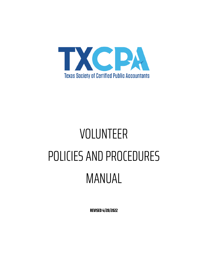

# VOLUNTEER POLICIES AND PROCEDURES MANUAL

**REVISED 4/28/2022**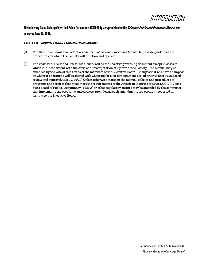

**The following Texas Society of Certified Public Accountants (TXCPA) Bylawsprovision for the Volunteer Policies and Procedures Manual was approved June 27, 2003.**

#### **ARTICLE XVI - VOLUNTEER POLICIES AND PROCEDURES MANUAL**

- (1) The Executive Board shall adopt a *Volunteer Policies and Procedures Manual* to provide guidelines and procedures by which the Society will function and operate.
- (2) The *Volunteer Policies and Procedures Manual* will be the Society's governing document except in cases in which it is inconsistent with the Articles of Incorporation or Bylaws of the Society. The manual may be amended by the vote of two-thirds of the members of the Executive Board. Changes that will have an impact on Chapter operations will be shared with Chapters for a 30-day comment period prior to Executive Board review and approval. (EB: 04/23/20) Unless otherwise stated in the manual, policies and procedures of programs and services that must meet the requirements of the American Institute of CPAs (AICPA), Texas State Board of Public Accountancy (TSBPA) or other regulatory entities may be amended by the committee that implements the programs and services, provided all such amendments are promptly reported in writing to the Executive Board.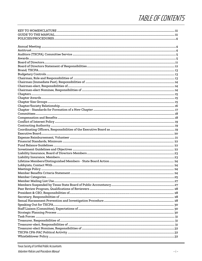# TABLE OF CONTENTS

| $Common 18$ |  |
|-------------|--|
|             |  |
|             |  |
|             |  |
|             |  |
|             |  |
|             |  |
|             |  |
|             |  |
|             |  |
|             |  |
|             |  |
|             |  |
|             |  |
|             |  |
|             |  |
|             |  |
|             |  |
|             |  |
|             |  |
|             |  |
|             |  |
|             |  |
|             |  |
|             |  |
|             |  |
|             |  |
|             |  |
|             |  |
|             |  |
|             |  |
|             |  |
|             |  |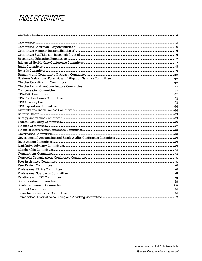## TABLE OF CONTENTS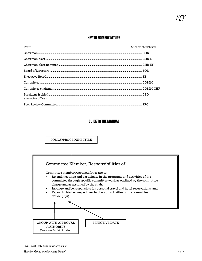## **KEY TO NOMENCLATURE**

| Term              | Abbreviated Term |
|-------------------|------------------|
|                   |                  |
|                   |                  |
|                   |                  |
|                   |                  |
|                   |                  |
|                   |                  |
|                   |                  |
| executive officer |                  |
|                   |                  |

## **GUIDE TO THE MANUAL**

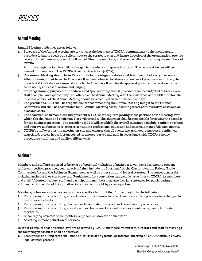## **Annual Meeting**

Annual Meeting guidelines are as follows:

- 1. Purposes of the Annual Meeting are to transact the business of TXCPA, communicate to the membership, provide a forum to speak out, solicit input to the strategic plan and future direction of the organization, provide recognition of members, reward its Board of Directors members, and provide fellowship among the members of TXCPA.
- 2. A minimal registration fee shall be charged to members and guests to attend. The registration fee will be waived for members of the TXCPA Board of Directors. *(4/27/07)*
- 3. The Annual Meeting should be in Texas or the four contiguous states in at least two out of every five years. After obtaining input from the Executive Board on potential locations and review of proposals submitted, the president & CEO shall recommend a site to the Executive Board for its approval, giving consideration to the accessibility and cost of airfare and lodging.
- 4. For programming purposes, all children's and spouses' programs, if provided, shall be budgeted to break even; staff shall plan and sponsor any CPE offered at the Annual Meeting with the assistance of the CPE director; the business portion of the Annual Meeting should be scheduled on two consecutive days.
- 5. The president & CEO shall be responsible for recommending the Annual Meeting budget to the Finance Committee and shall be accountable for all Annual Meeting costs, including direct administrative costs and all allocated costs.
- 6. The chairman, chairman-elect and president & CEO share input regarding those portions of the meeting over which the chairman and chairman-elect will preside. The chairman shall be responsible for setting the agendas for the business meetings. The president & CEO will: establish the overall meetings schedule, confirm speakers, and approve all functions relating to continuing professional education and entertainment of all participants.
- 7. TXCPA's staff executes the meeting on-site and ensures that all events are arranged, contracted, confirmed, negotiated, priced, housed, transported, promoted, served and paid in accordance with TXCPA's policy, procedures, tradition and quality. *(EB:11/7/03)*

## **Antitrust**

Members and staff are required to be aware of potential violations of antitrust laws. Laws designed to prevent unfair competitive practices, such as price-fixing, include the Sherman Act, the Clayton Act, the Federal Trade Commission Act and the Robinson-Patman Act, as well as other state and federal statutes. The consequences for violating antitrust laws can be severe. Punishment for a conviction can include large fines to TXCPA, its members and staff. Volunteer leaders, staff and participating members may also face jail sentences for participating in antitrust activities. In addition, civil actions may be brought by private parties.

Members, volunteers, directors and staff are specifically prohibited from engaging in the following:

- 1. Participating in or promoting any activities or discussions to raise, lower, or stabilize prices or fees charged to customers or clients;
- 2. Participating in or promoting discussions to regulate production or the availability of services;
- 3. Participating in or promoting allocation of exclusive markets, customers or clients, or agreeing to divide territories;
- 4. Encouraging boycotts of competitors, suppliers, customers or clients; or
- 5. Assisting in monopolization of services.

In order to ensure that antitrust laws are observed by TXCPA members, volunteers, directors and staff at meetings, the following procedures shall be observed:

1. Fees, prices or billing rates shall not be discussed at any formal or informal meeting of TXCPA without TXCPA legal counsel present.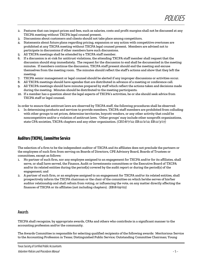- 2. Features that can impact prices and fees, such as salaries, costs and profit margins shall not be discussed at any TXCPA meeting without TXCPA legal counsel present.
- 3. Discussions about customers and clients should not take place among competitors.
- 4. Statements about future plans regarding pricing, expansion or any action with competitive overtones are prohibited at any TXCPA meeting without TXCPA legal counsel present. Members are advised not to participate in discussions if other members have such discussions.
- All TXCPA meetings shall be attended by a TXCPA staff member.
- 6. If a discussion is at-risk for antitrust violations, the attending TXCPA staff member shall request that the discussion should stop immediately. The request for the discussion to end shall be documented in the meeting minutes. If members continue the discussion, TXCPA staff present should end the meeting and excuse themselves from the meeting room. The minutes should reflect the staff's actions and show that they left the meeting.
- 7. TXCPA senior management or legal counsel should be alerted if any improper discussions or activities occur.
- 8. All TXCPA meetings should have agendas that are distributed in advance of a meeting or conference call.
- 9. All TXCPA meetings should have minutes prepared by staff which reflect the actions taken and decisions made during the meeting. Minutes should be distributed to the meeting participants.
- 10. If a member has a question about the legal aspects of TXCPA's activities, he or she should seek advice from TXCPA staff or legal counsel.

In order to ensure that antitrust laws are observed by TXCPA staff, the following procedures shall be observed:

1. In determining products and services to provide members, TXCPA staff members are prohibited from colluding with other groups to set prices, determine territories, boycott vendors, or any other activity that could be noncompetitive and/or a violation of antitrust laws. 'Other groups' may include other nonprofit organizations, state CPA societies, TXCPA chapters and any other organization. *(CEO:8/7/12; EB:11/2/12; EB:11/3/17)*

## **Auditors (TXCPA), Committee Service**

The selection of a firm to be the independent auditor of TXCPA and its affiliates does not preclude the partners or the employees of such firm from serving on Boards of Directors, CPE Advisory Board, Boards of Trustees or committees, except as follows:

- 1. No partner of such firm, nor any employee assigned to an engagement for TXCPA and/or for its affiliates, shall serve, or shall have served, the Finance, Audit or Investments committees or the Executive Board of TXCPA and/or its related entities during the period(s) covered by the audit report or during the period(s) of the engagement; and
- 2. A partner of such firm, or an employee assigned to an engagement for TXCPA and/or its related entities, shall prospectively inform the TXCPA chairman or the chair of the committee on which he/she serves of his/her auditor relationship and shall refrain from voting, or influencing the vote, on any matter directly affecting the finances of TXCPA or its affiliates (not including chapters). *(EB:8/09/02)*

## Awards

TXCPA shall recognize, by appropriate awards, CPAs and others who contribute in a significant manner to the accounting profession and/or the community.

The Awards Committee is responsible for selecting qualified recipients of the following awards: Meritorious Service to the Accounting Profession in Texas; Distinguished Public Service; Outstanding Committee Chairman; Young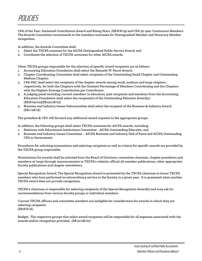POLICIES

CPA of the Year; Sustained Contribution Award and Rising Stars. *(EB:8/8/19)* and CPA 50-year Continuous Members. The Awards Committee recommends to the members nominees for Distinguished Member and Honorary Member recognition.

In addition, the Awards Committee shall:

- 1. Select the TXCPA nominee for the AICPA Distinguished Public Service Award; and
- 2. Coordinate the selection of TXCPA nominees for other AICPA awards.

Other TXCPA groups responsible for the selection of specific award recipients are as follows:

- 1. Accounting Education Foundation shall select the Kenneth W. Hurst Award;
- 2. Chapter Coordinating Committee shall select recipients of the Outstanding Small Chapter and Outstanding Medium Chapter;
- 3. CPA-PAC shall select the recipients of the chapter awards among small, medium and large chapters, respectively, for both the Chapters with the Greatest Percentage of Members Contributing and the Chapters with the Highest Average Contribution per Contributor;
- 4. A judging panel including current members in education, past recipients and members from the Accounting Education Foundation shall select the recipient(s) of the Outstanding Educator Award(s); *(EB:8/09/02)(EB:04/28/22)*
- 5. Business and Industry Issues Subcommittee shall select the recipient of the Business & Industry Award. *(EB:1/28/16)*

The president & CEO will forward any additional award requests to the appropriate groups.

In addition, the following groups shall select TXCPA nominees for AICPA awards, including:

- 1. Relations with Educational Institutions Committee AICPA Outstanding Educator; and
- 2. Business and Industry Issues Committee AICPA Business and Industry Hall of Fame and AICPA Outstanding CPA in Government.

Procedures for soliciting nominations and selecting recipients as well as criteria for specific awards are provided by the TXCPA group responsible.

Nominations for awards shall be solicited from the Board of Directors, committee chairmen, chapter presidents and members-at-large through announcements in TXCPA's website, official all-member publications, other appropriate Society publications and chapter newsletters.

Special Recognition Award: The Special Recognition Award is presented by the TXCPA chairman to honor TXCPA members who have performed an extraordinary service to the Society in a given year. It is presented when another TXCPA award does not provide recognition.

TXCPA's chairman is responsible for selecting recipients of the Special Recognition Award(s) and may ask for recommendations from various Society groups or individual members.

Current TXCPA officers and committee members are ineligible for consideration for awards in which they are selecting recipients.

*(EB:8/6/16)*

Budget: The respective groups that select award recipients will be responsible for all expenses associated with the awards and/or recognition provided. *(EB:10/28/00)*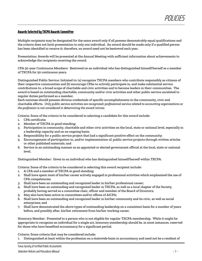#### **Awards Selected by TXCPA Awards Committee**

Multiple recipients may be designated for the same award only if all possess demonstrably equal qualifications and the criteria does not limit presentation to only one individual. An award should be made only if a qualified person has been identified to receive it; therefore, an award need not be bestowed each year.

Presentation: Awards will be presented at the Annual Meeting with sufficient information about achievements to acknowledge the recipients receiving the award.

CPA 50-year Continuous Members: Bestowed on an individual who has distinguished himself/herself as a member of TXCPA for 50 continuous years.

Distinguished Public Service: Initiated to: (a) recognize TXCPA members who contribute responsibly as citizens of their respective communities and (b) encourage CPAs to actively participate in, and make substantial service contributions to, a broad scope of charitable and civic activities and to become leaders in their communities. The award is based on outstanding charitable, community and/or civic activities and other public service unrelated to regular duties performed as a member.

Each nominee should possess obvious credentials of specific accomplishments in the community, civic and charitable efforts. *Only public service activities are recognized; professional service related to accounting organizations or the profession is not considered in determining the award winner.*

Criteria: Some of the criteria to be considered in selecting a candidate for this award include:

- 1. CPA certificate;
- 2. Member of TXCPA in good standing;
- 3. Participation in community, charitable and other civic activities on the local, state or national level, especially in a leadership capacity and on an ongoing basis;
- 4. Responsibility for a public service project that had a significant positive effect on the community;
- 5. Encouragement of participation in, and/or implementation of, public service projects through written articles or other published materials; and
- 6. Service in an outstanding manner as an appointed or elected government official at the local, state or national level.

Distinguished Member: Given to an individual who has distinguished himself/herself within TXCPA.

Criteria: Some of the criteria to be considered in selecting this award recipient include:

- 1. A CPA and a member of TXCPA in good standing;
- 2. Shall have spent most of his/her career actively engaged in professional activities which emphasized the use of CPA competencies;
- 3. Shall have been an outstanding and recognized leader in his/her professional career;
- 4. Shall have been an outstanding and recognized leader in TXCPA, as well as a local chapter of the Society, probably having served as a committee chair, officer and member of the Board of Directors;
- 5. May also have been active in committees and/or offices of AICPA;
- 6. Shall have been an outstanding and recognized leader in his/her community and its civic, as well as social enterprises; and
- 7. Shall have demonstrated the above types of outstanding leadership on a consistent basis for a number of years before, and possibly after, his/her retirement from his/her working career.

Honorary Member: Presented to a person who is not eligible for regular TXCPA membership. While it might be appropriate to recognize an individual for a single act, honorary membership should be, in most instances, reserved for those who have benefited accountancy for a significant period.

Criteria: Some criteria that may be considered include:

1. Distinguished at least within the profession on a statewide basis in accountancy and need not be a resident of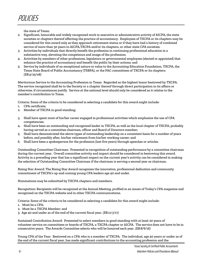the state of Texas;

- 2. Significant, honorable and widely recognized work in executive or administrative activity of AICPA, the state societies or chapters thereof affecting the practice of accountancy. Employees of TXCPA or its chapters may be considered for this award only as they approach retirement status or if they have had a history of combined service of more than 30 years to AICPA,TXCPA and/or its chapters, or other state CPA societies;
- 3. Activities by individuals that directly benefit the profession in continuing professional education in a substantive way, elevating the competence and image of the profession;
- 4. Activities by members of other professions, legislators or governmental employees (elected or appointed) that enhance the practice of accountancy and benefit the public by their actions; and
- 5. Service by individuals of an exceptional nature or value to the Accounting Education Foundation, TXCPA, the Texas State Board of Public Accountancy (TSBPA), or the PAC committees of TXCPA or its chapters. *(EB:4/25/08)*

Meritorious Service to the Accounting Profession in Texas: Regarded as the highest honor bestowed by TXCPA. The service recognized shall be to the Society or a chapter thereof through direct participation in its affairs or otherwise, if circumstances justify. Service at the national level should only be considered as it relates to the member's contribution to Texas.

Criteria: Some of the criteria to be considered in selecting a candidate for this award might include:

- 1. CPA certificate;
- 2. Member of TXCPA in good standing;
- 3. Shall have spent most of his/her career engaged in professional activities which emphasize the use of CPA competencies;
- 4. Shall have been an outstanding and recognized leader in TXCPA, as well as the local chapter of TXCPA, probably having served as a committee chairman, officer and Board of Directors member;
- 5. Shall have demonstrated the above types of outstanding leadership on a consistent basis for a number of years before, and possibly after, his/her retirement from his/her working career; and
- 6. Shall have been a spokesperson for the profession (last five years) through speeches or articles.

Outstanding Committee Chairman: Presented in recognition of outstanding performance by a committee chairman during the current year. Overall committee activity and impact should be considered in bestowing this award. Activity in a preceding year that has a significant impact on the current year's activity can be considered in making the selection of Outstanding Committee Chairman if the chairman is serving a second year as chairman.

Rising Star Award: The Rising Star Award recognizes the innovation, professional dedication and community commitment of TXCPA's up-and-coming young CPA leaders age 40 and under.

Nominations may be submitted by TXCPA chapters and members.

Recognition: Recipients will be recognized at the Annual Meeting, profiled in an issues of Today's CPA magazine and recognized on the TXCPA website and in other TXCPA communications.

Criteria: Some of the criteria to be considered in selecting a candidate for this award might include:

- 1. Must be a CPA;
- 2. Must be a TXCPA Member; and
- 3. Age 40 and under as of the end of the current fiscal year. *(EB:11/3/17)*

Sustained Contribution Award: Presented to select members in good standing with at least 20 years of volunteer service on committees or boards of TXCPA, a TXCPA chapter or AICPA. The service does not have to be in consecutive years. The Awards Committee selects who will be honored each year. *(EB:8/6/16)*

Young CPA of the Year: Bestowed on a CPA who is a member of TXCPA. The individual, age 40 years or under as of the end of the current fiscal year, has made significant contributions to the accounting profession and the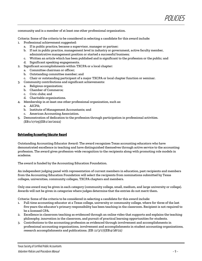community and is a member of at least one other professional organization.

Criteria: Some of the criteria to be considered in selecting a candidate for this award include:

- Professional achievement suggested:
	- a. If in public practice, became a supervisor, manager or partner;
	- b. If not in public practice, management level in industry or government, active faculty member, administrative management position or started a successful business;
	- c. Written an article which has been published and is significant to the profession or the public; and
	- d. Significant speaking engagements.
- 2. Significant accomplishments within TXCPA or a local chapter:
	- a. Committee chairman or officer;
	- b. Outstanding committee member; and
	- c. Chair or outstanding participant of a major TXCPA or local chapter function or seminar.
- 3. Community contributions and significant achievements:
	- a. Religious organization;
	- b. Chamber of Commerce;
	- c. Civic clubs; and
	- d. Charitable organizations.
- 4. Membership in at least one other professional organization, such as:
	- a. AICPA;
	- b. Institute of Management Accountants; and
	- c. American Accounting Association.
- 5. Demonstration of dedication to the profession through participation in professional activities. *(EB:1/17/05)(EB:1/20/2022)*

#### **Outstanding Accounting Educator Award**

Outstanding Accounting Educator Award: The award recognizes Texas accounting educators who have demonstrated excellence in teaching and have distinguished themselves through active service to the accounting profession. The award gives profession-wide recognition to the recipients along with promoting role models in academe.

The award is funded by the Accounting Education Foundation.

An independent judging panel with representation of current members in education, past recipients and members from the Accounting Education Foundation will select the recipients from nominations submitted by Texas colleges, universities, community colleges, TXCPA chapters and members.

Only one award may be given in each category (community college, small, medium, and large university or college). Awards will not be given in categories where judges determine that the entries do not merit them.

Criteria: Some of the criteria to be considered in selecting a candidate for this award include:

- 1. Full-time accounting educator at a Texas college, university or community college, where for three of the last five years the educator's primary responsibility has been teaching in the classroom. Recipient is not required to be a licensed CPA.
- 2. Excellence in classroom teaching as evidenced through an online video that supports and explains the teaching philosophy, innovation in the classroom, and pursuit of practical learning opportunities for students.
- 3. Contributions to the accounting profession as evidenced through involvement and accomplishments in professional accounting organizations, involvement and accomplishments in student accounting organizations, research accomplishments and publications. *(EB: 11/3/17)(EB:4/28/22)*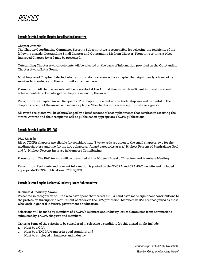## **Awards Selected by the Chapter Coordinating Committee**

#### Chapter Awards

The Chapter Coordinating Committee Steering Subcommittee is responsible for selecting the recipients of the following awards: Outstanding Small Chapter and Outstanding Medium Chapter. From time to time, a Most Improved Chapter Award may be presented.

Outstanding Chapter Award recipients will be selected on the basis of information provided on the Outstanding Chapter Award Entry Form.

Most Improved Chapter: Selected when appropriate to acknowledge a chapter that significantly advanced its services to members and the community in a given year.

Presentation: All chapter awards will be presented at the Annual Meeting with sufficient information about achievements to acknowledge the chapters receiving the award.

Recognition of Chapter Award Recipients: The chapter president whose leadership was instrumental in the chapter's receipt of the award will receive a plaque. The chapter will receive appropriate recognition.

All award recipients will be acknowledged by a brief account of accomplishments that resulted in receiving the award. Awards and their recipients will be publicized in appropriate TXCPA publications.

#### **Awards Selected by the CPA-PAC**

#### PAC Awards

All 20 TXCPA chapters are eligible for consideration. Two awards are given to the small chapters, two for the medium chapters, and two for the large chapters. Award categories are: (1) Highest Percent of Fundraising Goal and (2) Highest Percent Increase in Members Contributing.

Presentation: The PAC Awards will be presented at the Midyear Board of Directors and Members Meeting.

Recognition: Recipients and relevant information is posted on the TXCPA and CPA-PAC website and included in appropriate TXCPA publications. *(EB:11/3/17)*

#### **Awards Selected by the Business & Industry Issues Subcommittee**

#### Business & Industry Award

Presented in recognition of CPAs who have spent their careers in B&I and have made significant contributions to the profession through the recruitment of others to the CPA profession. Members in B&I are recognized as those who work in general industry, government or education.

Selections will be made by members of TXCPA's Business and Industry Issues Committee from nominations submitted by TXCPA chapters and members.

Criteria: Some of the criteria to be considered in selecting a candidate for this award might include:

- 1. Must be a CPA;
- 2. Must be a TXCPA Member in good standing; and
- 3. Must be employed in business and industry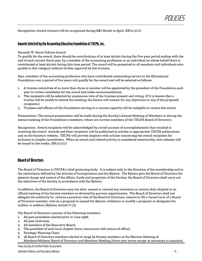Recognition: Award winners will be recognized during B&I Month in April. *(EB:11/3/17)*

#### **Awards Selected by the Accounting Education Foundation of TXCPA, Inc.**

Kenneth W. Hurst Fellows Award

To qualify for the award, there should be contributions of at least \$5,000 during the five-year period ending with the end of each current fiscal year, by a member of the accounting profession or an individual on whose behalf there is contributed at least \$5,000 during this time period. The award will be presented to all members and individuals who qualify in this category without further approval by the trustees.

Also, members of the accounting profession who have contributed outstanding service to the Educational Foundation over a period of five years will qualify for the award and will be selected as follows:

- 1. A trustee committee of no more than three in number will be appointed by the president of the Foundation each year to review candidates for the award and make recommendations.
- 2. The recipients will be selected by unanimous vote of the trustees present and voting. (If it is known that a trustee will be unable to attend the meeting, the liaison will contact for any objections to any of the proposed recipients.)
- 3. Trustees and officers of the Foundation serving in a current capacity will be ineligible to receive the award.

Presentation: The annual presentation will be made during the Society's Annual Meeting of Members or during the annual meeting of the Foundation's members, whom are current members of the TXCPA Board of Directors.

Recognition: Award recipients will be acknowledged by a brief account of accomplishments that resulted in receiving the award. Awards and their recipients will be publicized in articles in appropriate TXCPA publications and on the Society's website. TXCPA will provide chapters with articles concerning the award recipients for inclusion in chapter newsletters. When an award and related activity is considered newsworthy, new releases will be issued to the media. *(EB:11/3/17)*

## **Board of Directors**

The Board of Directors is TXCPA's chief governing body. It is subject only to the direction of the membership and to the restrictions defined by the Articles of Incorporation and the Bylaws. The Bylaw*s* give the Board of Directors the general charge and control of the affairs, funds and properties of the Society; the Board of Directors shall carry out the objectives of the Society in accordance with the Bylaws.

In addition, the Board of Directors may not alter, amend or rescind any resolution or motion duly adopted at an official meeting of the Society members as dictated by quorum requirements. The Board of Directors shall not delegate the authority to: reverse a previous vote of the Board of Directors; remove or fill a vacant term of a Board of Directors member; vote on a proposal to amend the Bylaws; withdraw or modify a proposal; or designate the auditor or auditors [Bylaws, Article V (1)].

The Board of Directors consists of the following members:

- 1. All past presidents elected prior to June 1998;
- 2. All past chairmen;
- 3. All members of the Executive Board;
- 4. The president of each local chapter (term concurrent with tenure of office);
- 5. Strategic Planning Chair;
- 6. 36 Board of Directors members elected at-large by Society members at the Election Meeting of Members/Midyear Board of Directors and Members Meeting (three-year terms except as necessary to maintain

Texas Society of Certified Public Accountants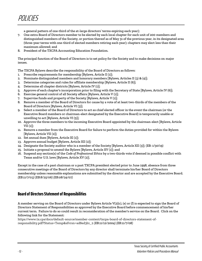POLICIES

a general pattern of one-third of the at-large directors' terms expiring each year);

- 7. One extra Board of Directors member to be elected by each local chapter for each unit of 200 members and distinguished members of the Society, or portion thereof as of May 31 of the previous year, in its designated area (three-year terms with one-third of elected members retiring each year); chapters may elect less than their maximum allowed; and
- 8. President of the TXCPA Accounting Education Foundation.

The principal function of the Board of Directors is to set policy for the Society and to make decisions on major issues.

The TXCPA Bylaws describe the responsibility of the Board of Directors as follows:

- 1. Prescribe requirements for membership [Bylaws*,* Article II (1)];
- 2. Nominate distinguished members and honorary members [Bylaws*,* Articles II (3) & (4)];
- 3. Determine categories and rules for affiliate membership [Bylaws*,* Article II (6)];
- 4. Determine all chapter districts [Bylaws, Article IV (1)];
- 5. Approve of each chapter's incorporation prior to filing with the Secretary of State [Bylaws, Article IV (6)];
- 6. Exercise general control of all Society affairs [Bylaws, Article V (1)];
- 7. Supervise funds and property of the Society [Bylaws, Article V (1)];
- 8. Remove a member of the Board of Directors for cause by a vote of at least two-thirds of the members of the Board of Directors [Bylaws, Article VI (3)];
- 9. Select a member of the Board of Directors to act as chief elected officer in the event the chairman (or the Executive Board members or chairman-elect designated by the Executive Board) is temporarily unable or unwilling to act [Bylaws, Article VI (5)];
- 10. Approve the three members to the incoming Executive Board appointed by the chairman-elect [Bylaws, Article  $VII(1)$ ;
- 11. Remove a member from the Executive Board for failure to perform the duties provided for within the Bylaws [Bylaws, Article VII (2)];
- 12. Set annual dues [Bylaws, Article XI (1)];
- 13. Approve annual budget [Bylaws, Article XII (2)];
- 14. Designate the Society auditor who is a member of the Society [Bylaws, Article XII (3)]; (EB: 1/30/19)
- 15. Initiate a proposal to amend the Bylaws [Bylaws, Article XV (1)]; and
- 16. Suspend any section(s) of the *Code of Professional Ethics* by a two-thirds vote if deemed in possible conflict with Texas and/or U.S. laws [Bylaws, Article XV (2)].

Except in the case of a past chairman or a past TXCPA president elected prior to June 1998, absence from three consecutive meetings of the Board of Directors by any director shall terminate his/her Board of Directors membership unless reasonable explanations are submitted by the director and are accepted by the Executive Board. *(EB:11/7/03) (EB:8/25/06) (EB:08/24/07)*

## **Board of Directors Statement of Responsibilities**

A member serving on the Board of Directors under Bylaws Article V(2)(c), (e) or (f) is expected to sign the Board of Directors Statement of Responsibilities as approved by the Executive Board before commencement of his/her current term. Failure to do so could result in reconsideration of the member's service on the Board. Click on the following link for the Statement:

https://www.tx.cpa/docs/default-source/member-content/txcpa-board-of-directors-statement-ofresponsibility.pdf?Status=Temp&sfvrsn=ad8ed3b1\_2 *(EB:11/12/2004) (EB:11/7/08)*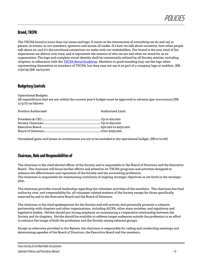## **Brand, TXCPA**

The TXCPA brand is more than our name and logo. It exists at the intersection of everything we do and say in person, at events, to our members, sponsors and across all media. It's how we talk about ourselves, how other people talk about us, and it's the emotional connection we make with our stakeholders. Our brand is the sum total of the experiences we deliver over time, and it represents the essence of who we are and what we stand for as an organization. The logo and complete visual identity shall be consistently utilized by all Society entities, including chapters, in adherence with the *[TXCPA Brand Guidelines](https://www.tscpa.org/docs/default-source/about-tscpa-documents/governance/txcpa-brand-guidelines.pdf?sfvrsn=77e7f2b1_4)*. Members in good standing may use the logo when representing themselves as members of TXCPA, but they may not use it as part of a company logo or emblem. (EB: 1/30/19) (*EB: 04/23/20*)

## **Budgetary Controls**

Operational Budgets

All expenditures that are not within the current year's budget must be approved in advance (per occurrence) (EB: 11/3/17) as follows:

Position Authorized Authorized Authorized Limit

Unrealized gains and losses on investments are not to be included in the operational budget. *(EB:11/11/06)*

## **Chairman, Role and Responsibilities of**

The chairman is the chief elected officer of the Society and is responsible to the Board of Directors and the Executive Board. The chairman will focus his/her efforts and attention on TXCPA programs and activities designed to enhance the effectiveness and reputation of the Society and the accounting profession. The chairman is responsible for maintaining continuity of ongoing strategic objectives as set forth in the strategic plan.

The chairman provides overall leadership regarding the volunteer activities of the members. The chairman has final authority over, and responsibility for, all volunteer-related matters of the Society except for those specifically reserved by and to the Executive Board and the Board of Directors.

The chairman is the chief spokesperson for the Society and will actively and personally promote a cohesive partnership with chapters and other organizations, including AICPA, other state societies, and regulatory and legislative bodies. He/she should put strong emphasis on maintaining a cooperative relationship between the Society and its chapters. He/she should be available to address target audiences outside the profession in an effort to enhance the image of both the profession and the Society among external groups.

Except as otherwise provided in the Bylaws, the chairman is responsible for calling and conducting meetings and determining agendas of the Board of Directors, the Executive Board and the members.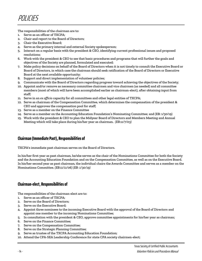The responsibilities of the chairman are to:

- 1. Serve as an officer of TXCPA;
- 2. Chair and report to the Board of Directors;
- 3. Chair the Executive Board;
- 4. Serve as the primary internal and external Society spokesperson;
- 5. Interact on a regular basis with the president & CEO, identifying current professional issues and proposed resolutions;
- 6. Work with the president & CEO to see that basic procedures and programs that will further the goals and objectives of the Society are planned, formulated and executed;
- 7. Make policy decisions on behalf of the Board of Directors when it is not timely to consult the Executive Board or Board of Directors, in which case the chairman should seek ratification of the Board of Directors or Executive Board at the next available opportunity;
- 8. Support and direct implementation of volunteer policies;
- 9. Communicate with the Board of Directors regarding progress toward achieving the objectives of the Society;
- 10. Appoint and/or remove as necessary committee chairmen and vice chairmen (as needed) and all committee members (most of which will have been accomplished earlier as chairman-elect), after obtaining input from staff;
- 11. Serve in an *ex officio* capacity for all committees and other legal entities of TXCPA;
- 12. Serve as chairman of the Compensation Committee, which determines the compensation of the president & CEO and approves the compensation pool for staff;
- 13. Serve as a member on the Finance Committee
- 14. Serve as a member on the Accounting Education Foundation's Nominating Committee; and (EB: 1/30/19)
- 15. Work with the president & CEO to plan the Midyear Board of Directors and Members Meeting and Annual Meeting which will take place during his/her year as chairman. *(EB:11/7/03)*

## **Chairman (Immediate Past), Responsibilities of**

TXCPA's immediate past chairman serves on the Board of Directors.

In his/her first year as past chairman, he/she serves as the chair of the Nominations Committee for both the Society and the Accounting Education Foundation and on the Compensation Committee, as well as on the Executive Board. In his/her second year as past chairman, the individual chairs the Awards Committee and serves as a member on the Nominations Committee. *(EB:11/11/06) (EB: 1/30/19)*

## **Chairman-elect, Responsibilities of**

The responsibilities of the chairman-elect are to:

- 1. Serve as an officer of TXCPA;
- 2. Serve on the Board of Directors;
- 3. Serve on the Executive Board;
- 4. Appoint three nominees to the incoming Executive Board with the approval of the Board of Directors and appoint one member to the incoming Nominations Committee;
- 5. In consultation with the president & CEO, approve committee appointments for his/her year as chairman;
- 6. Serve on the Finance Committee;
- 7. Serve on the Compensation Committee;
- 8. Serve on the Strategic Planning Committee;
- 9. Serve as trustee of the TXCPA Accounting Education Foundation;
- 10. Attend the CPA-SEA Leadership Conference for state CPA society chairmen-elect;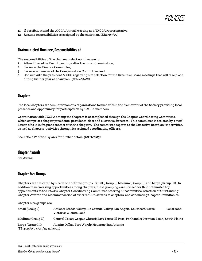

- 11. If possible, attend the AICPA Annual Meeting as a TXCPA representative;
- 12. Assume responsibilities as assigned by the chairman. *(EB:8/09/02)*

## **Chairman-elect Nominee, Responsibilities of**

The responsibilities of the chairman-elect nominee are to:

- 1. Attend Executive Board meetings after the time of nomination;
- 2. Serve on the Finance Committee;
- 3. Serve as a member of the Compensation Committee; and
- 4. Consult with the president & CEO regarding site selection for the Executive Board meetings that will take place during his/her year as chairman. *(EB:8/09/02)*

## **Chapters**

The local chapters are semi-autonomous organizations formed within the framework of the Society providing local presence and opportunity for participation by TXCPA members.

Coordination with TXCPA among the chapters is accomplished through the Chapter Coordinating Committee, which comprises chapter presidents, presidents-elect and executive directors. This committee is assisted by a staff liaison who is in frequent contact with the chapters. The committee reports to the Executive Board on its activities, as well as chapters' activities through its assigned coordinating officers.

See Article IV of the Bylaws for further detail. *(EB:11/7/03)*

#### **Chapter Awards**

*See Awards*

## **Chapter Size Groups**

Chapters are clustered by size in one of three groups: Small (Group I); Medium (Group II); and Large (Group III). In addition to networking opportunities among chapters, these groupings are utilized for (but not limited to): appointments to the TXCPA Chapter Coordinating Committee Steering Subcommittee, selection of Outstanding Chapter Awards and recommendation of other TXCPA awards to chapters, and conducting Chapter Roundtables.

Chapter size groups are:

| Small (Group I)                                      | Abilene; Brazos Valley; Rio Grande Valley; San Angelo; Southeast Texas;<br>Victoria: Wichita Falls | Texarkana: |
|------------------------------------------------------|----------------------------------------------------------------------------------------------------|------------|
| Medium (Group II)                                    | Central Texas; Corpus Christi; East Texas; El Paso; Panhandle; Permian Basin; South Plains         |            |
| Large (Group III)<br>(EB:4/25/03; 4/29/11; 11/30/15) | Austin; Dallas, Fort Worth; Houston; San Antonio                                                   |            |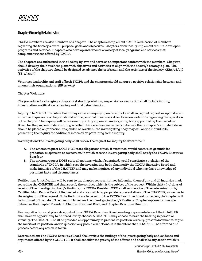## **Chapter/Society Relationship**

TXCPA members are also members of a chapter. The chapters complement TXCPA's education of members regarding the Society's overall purpose, goals and objectives. Chapters often locally implement TXCPA-developed programs and services. Chapters also develop and execute a variety of local programs and services that complement those offered by TXCPA.

The chapters are authorized in the Society Bylaws and serve as an important contact with the members. Chapters should develop their business plans with objectives and activities to align with the Society's strategic plan. The activities of the chapters should be designed to advance the profession and the activities of the Society. (*EB:4/26/03) (EB: 1/30/19)*

Volunteer leadership and staff of both TXCPA and the chapters should nurture a positive relationship between and among their organizations. *(EB:11/7/03)*

#### Chapter Violations

The procedure for changing a chapter's status to probation, suspension or revocation shall include inquiry, investigation, notification, a hearing and final determination.

Inquiry: The TXCPA Executive Board may cause an inquiry upon receipt of a written, signed request or upon its own initiative. Inquiries of a chapter should not be personal in nature, rather focus on violations regarding the operation of the chapter. The inquiry will be reviewed by a duly appointed investigating body appointed by the Executive Board for the purpose of determining whether there is a reasonable basis to believe that a chapter's affiliated status should be placed on probation, suspended or revoked. The investigating body may call on the individual(s) presenting the inquiry for additional information pertaining to the inquiry.

Investigation: The investigating body shall review the request for inquiry to determine if:

- A. The written request DOES NOT state allegations which, if sustained, would constitute grounds for probation, suspension or revocation, in which case the investigating body shall notify the TXCPA Executive Board; or
- B. The written request DOES state allegations which, if sustained, would constitute a violation of the standards of TXCPA, in which case the investigating body shall notify the TXCPA Executive Board and make inquiries of the CHAPTER and may make inquiries of any individual who may have knowledge of pertinent facts and circumstances.

Notification: A notification will be sent to the chapter representatives informing them of any and all inquiries made regarding the CHAPTER and shall specify the conduct which is the subject of the request. Within thirty (30) days of receipt of the investigating body's findings, the TXCPA President/CEO shall send notice of the determination by Certified Mail, Return Receipt Requested and via email, to appropriate representatives of the CHAPTER, as well as to the originator of the request. If the findings are to be sent to the TXCPA Executive Board for review, the chapter will be informed of the date of the meeting to review the investigating body's findings. Chapter representatives are defined as the Chapter President, Chapter President Elect, and Chapter Executive Director.

Hearing: At a time and place designated for a TXCPA Executive Board meeting, representatives of the CHAPTER shall have an opportunity to be heard if they choose. A CHAPTER may choose to have the hearing in person or virtually. The CHAPTER shall be provided an opportunity to present its position verbally, present documents, argue the merits of its position, and to question any possible sanctions. It is the intent that CHAPTERS be afforded due process before any action is taken.

Determination: The TXCPA Executive Board shall review the findings of the investigating body and evidence and arguments offered by the CHAPTER. It shall consider the gravity of the offense and shall take any action which it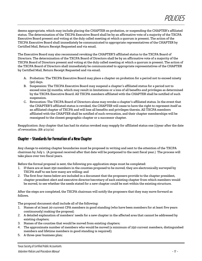deems appropriate, which may include placing the CHAPTER on probation, or suspending the CHAPTER's affiliated status. The determination of the TXCPA Executive Board shall be by an affirmative vote of a majority of the TXCPA Executive Board present and voting at the duly called meeting at which a quorum is present. The action of the TXCPA Executive Board shall immediately be communicated to appropriate representatives of the CHAPTER by Certified Mail, Return Receipt Requested and via email.

The Executive Board may also recommend revoking the CHAPTER'S affiliated status to the TXCPA Board of Directors. The determination of the TXCPA Board of Directors shall be by an affirmative vote of a majority of the TXCPA Board of Directors present and voting at the duly called meeting at which a quorum is present. The action of the TXCPA Board of Directors shall immediately be communicated to appropriate representatives of the CHAPTER by Certified Mail, Return Receipt Requested and via email.

- A. Probation: The TXCPA Executive Board may place a chapter on probation for a period not to exceed ninety (90) days.
- B. Suspension: The TXCPA Executive Board may suspend a chapter's affiliated status for a period not to exceed nine (9) months, which may result in limitations or a loss of all benefits and privileges as determined by the TXCPA Executive Board. All TXCPA members affiliated with the CHAPTER shall be notified of such suspension.
- C. Revocation: The TXCPA Board of Directors alone may revoke a chapter's affiliated status. In the event that the CHAPTER'S affiliated status is revoked, the CHAPTER will cease to have the right to represent itself as an affiliated chapter of TXCPA and will lose all benefits and privileges therein. All TXCPA members affiliated with the CHAPTER shall be notified of such revocation, and their chapter memberships will be reassigned to the closest geographic chapter or a successor chapter.

Reapplication: Any chapter that has had its status revoked may reapply for affiliated status one (1)year after the date of revocation. *(EB: 4/23/21)*

## **Chapter – Standards for Formation of a New Chapter**

Any change to existing chapter boundaries must be proposed in writing and sent to the attention of the TXCPA chairman by July 1. (A proposal received after that date will be postponed to the next fiscal year.) The process will take place over two fiscal years.

Before the formal proposal is sent, the following pre-application steps must be completed:

- 1. If there are at least 250 members in the counties proposed to be moved, they are electronically surveyed by TXCPA staff to see how many are willing; and
- 2. The first four items below are included in a document that the proposers provide to the chapter president, chapter president-elect and executive director/secretary of each existing chapter from which members would be moved, to see whether the needs stated for a new chapter could be met within the existing structure.

After the steps are completed, the TXCPA chairman will notify the proposers that they may move forward as follows.

The proposal document shall include all of the following:

- 1. Names of at least 20 current CPA members in good standing (who have been members for at least five years continuously) making the proposal;
- 2. A detailed explanation of members' needs for a new chapter in the affected area that cannot be addressed by existing chapters;
- 3. Names of the counties that would be moved from existing chapters;
- 4. The approximate number of members who would be moved (a minimum of 250 current members, distinguished members and lifetime members in good standing is required);
- 5. A three-year business plan;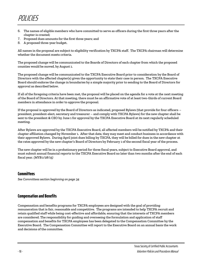- 6. The names of eligible members who have committed to serve as officers during the first three years after the chapter is created;
- 7. Proposed dues amounts for the first three years; and
- 8. A proposed three-year budget.

All names in the proposal are subject to eligibility verification by TXCPA staff. The TXCPA chairman will determine whether the document meets criteria.

The proposed change will be communicated to the Boards of Directors of each chapter from which the proposed counties would be moved, by August 1.

The proposed change will be communicated to the TXCPA Executive Board prior to consideration by the Board of Directors with the affected chapter(s) given the opportunity to state their case in person. The TXCPA Executive Board should endorse the change in boundaries by a simple majority prior to sending to the Board of Directors for approval as described below.

If all of the foregoing criteria have been met, the proposal will be placed on the agenda for a vote at the next meeting of the Board of Directors. At that meeting, there must be an affirmative vote of at least two-thirds of current Board members in attendance in order to approve the proposal.

If the proposal is approved by the Board of Directors as indicated, proposed Bylaws (that provide for four officers – president, president-elect, secretary and treasurer – and comply with TXCPA Bylaws) for the new chapter shall be sent to the president & CEO by June 1 for approval by the TXCPA Executive Board at its next regularly scheduled meeting.

After Bylaws are approved by the TXCPA Executive Board, all affected members will be notified by TXCPA and their chapter affiliation changed by November 1. After that date, they may meet and conduct business in accordance with their approved Bylaws. During April joint dues billing by TXCPA, they will be billed for dues in the new chapter at the rates approved by the new chapter's Board of Directors by February 1 of the second fiscal year of the process.

The new chapter will be in a probationary period for three fiscal years, subject to Executive Board approval, and must submit annual financial reports to the TXCPA Executive Board no later than two months after the end of each fiscal year. *(MYB:1/28/15)*

## **Committees**

*See Committees section beginning on page 34*

## **Compensation and Benefits**

Compensation and benefits programs for TXCPA employees are designed with the goal of providing remuneration that is fair, reasonable and competitive. The programs are intended to help TXCPA recruit and retain qualified staff while being cost-effective and affordable, ensuring that the interests of TXCPA members are considered. The responsibility for guiding and overseeing the formulation and application of staff compensation and benefits for TXCPA employees has been delegated to the Compensation Committee by the Executive Board. The Compensation Committee will report to the Executive Board on an annual basis the work and decisions of the committee.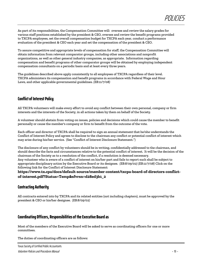As part of its responsibilities, the Compensation Committee will: oversee and review the salary grades for various staff positions established by the president & CEO, oversee and review the benefit programs provided to TXCPA employees, set the overall compensation budget for TXCPA each year, conduct a performance evaluation of the president & CEO each year and set the compensation of the president & CEO.

To assure competitive and appropriate levels of compensation for staff, the Compensation Committee will obtain information from relevant comparator groups, including other associations and nonprofit organizations, as well as other general industry companies, as appropriate. Information regarding compensation and benefit programs of other comparator groups will be obtained by employing independent compensation consultants on a periodic basis and at least every three years.

The guidelines described above apply consistently to all employees of TXCPA regardless of their level. TXCPA administers its compensation and benefit programs in accordance with Federal Wage and Hour Laws, and other applicable governmental guidelines. *(EB:11/7/08)*

## **Conflict of Interest Policy**

All TXCPA volunteers will make every effort to avoid any conflict between their own personal, company or firm interests and the interests of the Society, in all actions taken by them on behalf of the Society.

A volunteer should abstain from voting on issues, policies and decisions which could cause the member to benefit personally or cause the member's company or firm to benefit from the outcome of the vote.

Each officer and director of TXCPA shall be required to sign an annual statement that he/she understands the Conflict of Interest Policy and agrees to disclose to the chairman any conflict or potential conflict of interest which may arise during his/her service. (See "Conflict of Interest Disclosure Statement.")

The disclosure of any conflict by volunteers should be in writing, confidentially addressed to the chairman, and should describe the facts and circumstances relative to the potential conflict of interest. It will be the decision of the chairman of the Society as to a resolution of the conflict, if a resolution is deemed necessary. Any volunteer who is aware of a conflict of interest on his/her part and fails to report such shall be subject to appropriate disciplinary action by the Executive Board or its designee. *(EB:8/09/02) (EB:11/7/08)* Click on the following link for the Conflict of Interest Disclosure Statement:

**https://www.tx.cpa/docs/default-source/member-content/txcpa-board-of-directors-conflictof-interest.pdf?Status=Temp&sfvrsn=d28ed3b1\_2**

## **Contracting Authority**

All contracts entered into by TXCPA and its related entities (not including chapters), must be approved by the president & CEO or his/her designee. *(EB:8/09/02)*

## **Coordinating Officers, Responsibilities of the Executive Board as**

Most of the members of the Executive Board will be asked to serve as coordinating officers for one or more committees.

The duties of coordinating officers are as follows: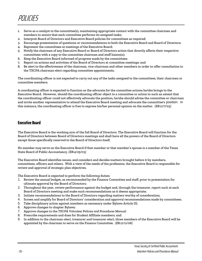- Serve as a catalyst to the committee(s), maintaining appropriate contact with the committee chairmen and members to assure that each committee performs its assigned tasks;
- 2. Interpret Board of Directors and Executive Board policies for committees as required;
- 3. Encourage presentation of questions or recommendations to both the Executive Board and Board of Directors;
- 4. Represent the committees at meetings of the Executive Board;
- 5. Notify the chairmen of any Executive Board or Board of Directors action that directly affects their respective committees with a copy to the committee chairman and staff liaison(s);
- 6. Keep the Executive Board informed of progress made by the committees;
- 7. Report on actions and activities of the Board of Directors at committee meetings; and
- 8. Be alert to the effectiveness of the chairman, vice-chairman and other members in order to offer consultation to the TXCPA chairman-elect regarding committee appointments.

The coordinating officer is not expected to carry out any of the tasks assigned to the committees, their chairmen or committee members.

A coordinating officer is expected to function as the advocate for the committee actions he/she brings to the Executive Board. However, should the coordinating officer object to a committee or action to such an extent that the coordinating officer could not effectively advocate the position, he/she should advise the committee or chairman and invite another representative to attend the Executive Board meeting and advocate the committee's position. In this instance, the coordinating officer is free to express his/her personal opinion on the matter. *(EB:11/7/03)*

## **Executive Board**

The Executive Board is the working arm of the full Board of Directors. The Executive Board will function for the Board of Directors between Board of Directors meetings and shall have all the powers of the Board of Directors except those specifically reserved to the Board of Directors itself.

No member may serve on the Executive Board if that member or that member's spouse is a member of the Texas State Board of Public Accountancy. *(EB:4/25/03)*

The Executive Board identifies issues, and considers and decides matters brought before it by members, committees, officers and others. With a view of the needs of the profession, the Executive Board is responsible for review and approval of strategic plan objectives.

The Executive Board is expected to perform the following duties:

- 1. Review the annual budget, as recommended by the Finance Committee and staff, prior to presentation for ultimate approval by the Board of Directors;
- 2. Throughout the year, review performance against the budget and, through the treasurer, report such at each Board of Directors meeting and make such recommendations as it deems appropriate;
- 3. Initiate recommendations to the Board of Directors regarding matters worthy of consideration;
- 4. Screen and amplify for Board of Directors' consideration and approval recommendations made by committees;
- 5. Take disciplinary action against members as necessary under Bylaws Article III;
- 6. Approve changes to chapter Bylaws*;*
- 7. Approve changes to the *TXCPA Volunteer Policies and Procedures Manual;*
- 8. Prescribe requirements and dues for Student Affiliate members; and
- 9. In addition to the chairman-elect, treasurer and treasurer-elect, three members of the Executive Board will be appointed by the chairman to serve on the Finance Committee. *(EB:11/11/06)*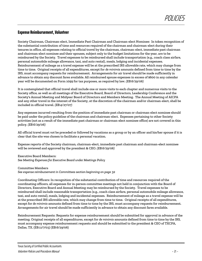## **Expense Reimbursement, Volunteer**

Society Chairman, Chairman-elect, Immediate Past Chairman and Chairman-elect Nominee: In token recognition of the substantial contribution of time and resources required of the chairman and chairman-elect during their tenures in office, all expenses relating to official travel by the chairman, chairman-elect, immediate past chairman and chairman-elect nominee and their spouses, subject only to the budget limitations for the year, are to be reimbursed by the Society. Travel expenses to be reimbursed shall include transportation (e.g., coach class airfare, personal automobile mileage allowance, taxi, and auto rental), meals, lodging and incidental expenses. Reimbursement of mileage as a travel expense will be at the prescribed IRS allowable rate, which may change from time to time. Original receipts of all expenditures, except for *de minimis* amounts defined from time to time by the IRS, must accompany requests for reimbursement. Arrangements for air travel should be made sufficiently in advance to obtain any discount fares available. All reimbursed spouse expenses in excess of \$600 in any calendar year will be documented on Form 1099 for tax purposes, as required by law. *(EB:6/29/06)*

It is contemplated that official travel shall include one or more visits to each chapter and numerous visits to the Society office, as well as all meetings of the Executive Board, Board of Directors, Leadership Conference and the Society's Annual Meeting and Midyear Board of Directors and Members Meeting. The Annual Meeting of AICPA and any other travel in the interest of the Society, at the discretion of the chairman and/or chairman-elect, shall be included in official travel. *(EB:4/27/07)*

Any expenses incurred resulting from the position of immediate past chairman or chairman-elect nominee should be paid under the policy guideline of the chairman and chairman-elect. Expenses pertaining to other Society activities (not as a result of the immediate past chairman or chairman-elect nominee office) are not covered in this policy. *(EB:6/29/06)*

All official travel must *not* be preceded or followed by vacations as a group or by an officer and his/her spouse if it is clear that the site was chosen to facilitate a personal vacation.

Expense reports of the Society chairman, chairman-elect, immediate past chairman and chairman-elect nominee will be reviewed and approved by the president & CEO. *(EB:6/29/06)*

Executive Board Members: *See Meeting Expenses for Executive Board under Meetings Policy*

Committee Members *See expense reimbursement in Committees section beginning on page 32*

Coordinating Officers: In recognition of the substantial contribution of time and resources required of the coordinating officers, all expenses for in-person committee meetings not held in conjunction with the Board of Directors, Executive Board and Annual Meeting may be reimbursed by the Society. Travel expenses to be reimbursed shall include reasonable transportation (e.g., coach class airfare, personal automobile mileage allowance, taxi, and auto rental), meals, lodging and incidental expenses. Reimbursement of mileage as a travel expense will be at the prescribed IRS allowable rate, which may change from time to time. Original receipts of all expenditures, except for *de minimis* amounts defined from time to time by the IRS, must accompany requests for reimbursement. Arrangements for air travel should be made sufficiently in advance to obtain any discount fares available.

Reimbursement Requests: Requests for expense reimbursement should be submitted for approval in advance of the meeting. Original receipts of all expenditures, except for *de minimis* amounts defined from time to time by the IRS, must accompany expense reimbursement requests and should be submitted to the president & CEO of TXCPA, Dallas, TX. (EB:11/7/03) (EB:6/29/06)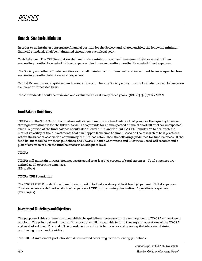## **Financial Standards, Minimum**

In order to maintain an appropriate financial position for the Society and related entities, the following minimum financial standards shall be maintained throughout each fiscal year.

Cash Balances: The CPE Foundation shall maintain a minimum cash and investment balance equal to three succeeding months' forecasted indirect expenses plus three succeeding months' forecasted direct expenses.

The Society and other affiliated entities each shall maintain a minimum cash and investment balance equal to three succeeding months' total forecasted expenses.

Capital Expenditures: Capital expenditures or financing for any Society entity must not violate the cash balances on a current or forecasted basis.

These standards should be reviewed and evaluated at least every three years. *(EB:6/19/98) (EB:8/24/12)*

## **Fund Balance Guidelines**

TXCPA and the TXCPA CPE Foundation will strive to maintain a fund balance that provides the liquidity to make strategic investments for the future, as well as to provide for an unexpected financial shortfall or other unexpected event. A portion of the fund balance should also allow TXCPA and the TXCPA CPE Foundation to deal with the market volatility of their investments that can happen from time to time. Based on the research of best practices within the broader association community, TXCPA has established the following guidelines for fund balances. If the fund balances fall below these guidelines, the TXCPA Finance Committee and Executive Board will recommend a plan of action to return the fund balances to an adequate level.

#### TXCPA

TXCPA will maintain unrestricted net assets equal to at least 50 percent of total expenses. Total expenses are defined as all operating expenses. (EB:4/28/17)

#### TXCPA CPE Foundation

The TXCPA CPE Foundation will maintain unrestricted net assets equal to at least 50 percent of total expenses. Total expenses are defined as all direct expenses of CPE programming plus indirect/operational expenses. (EB:8/24/12)

## **Investment Guidelines and Objectives**

The purpose of this statement is to establish the guidelines necessary for the management of TXCPA's investment portfolio. The principal and income of this portfolio will be available to fund the ongoing operations of the TXCPA and related entities. The goal of the investment portfolio is to preserve and grow capital while maintaining purchasing power and liquidity.

The TXCPA investment portfolio should be invested according to the following guidelines: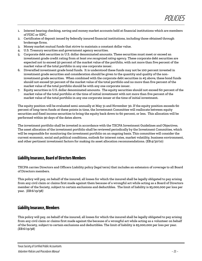- 1. Interest bearing checking, saving and money market accounts held at financial institutions which are members of FDIC or SIPC.
- 2. Certificates of deposit issued by federally insured financial institutions, including those obtained through brokerage firms.
- 3. Money market mutual funds that strive to maintain a constant dollar value.
- 4. U.S. Treasury securities and government agency securities.
- 5. Corporate debt securities in U.S. dollar denominated amounts. These securities must meet or exceed an investment grade credit rating from *at least one recognized rating agency*. These corporate debt securities are expected not to exceed 50 percent of the market value of the portfolio, with not more than five percent of the market value of the total portfolio in any one corporate issuer.
- 6. Diversified investment grade bond funds. It is understood these funds may not be 100 percent invested in investment grade securities and consideration should be given to the quantity and quality of the noninvestment grade securities. When combined with the corporate debt securities in #5 above, these bond funds should not exceed 50 percent of the market value of the total portfolio and no more than five percent of the market value of the total portfolio should be with any one corporate issuer.
- 7. Equity securities in U.S. dollar denominated amounts. The equity securities should not exceed 60 percent of the market value of the total portfolio at the time of initial investment with not more than five percent of the market value of the total portfolio in any one corporate issuer at the time of initial investment.

The equity position will be evaluated semi-annually at May 31 and November 30. If the equity position exceeds 60 percent of long-term funds at these points in time, the Investment Committee will reallocate between equity securities and fixed income securities to bring the equity back down to 60 percent, or less. This allocation will be performed within 90 days of the dates above.

The investment portfolio shall be invested in accordance with the TXCPA Investment Guidelines and Objectives. The asset allocation of the investment portfolio shall be reviewed periodically by the Investment Committee, which will be responsible for monitoring the investment portfolio on an ongoing basis. This committee will consider the current economic, social and political conditions, outlook for interest rates, market volatility, business environment, and other pertinent investment factors for making its asset allocation recommendations. (EB:4/30/10)

## **Liability Insurance, Board of Directors Members**

TXCPA carries Directors and Officers Liability policy (legal term) that includes an extension of coverage to all Board of Directors members.

This policy will pay, on behalf of the insured, all losses for which the insured shall be legally obligated to pay arising from any civil claim or claims first made against them because of a wrongful act while acting as a Board of Directors member of the Society, subject to certain exclusions and deductibles. The limit of liability is \$5,000,000 per loss per year. *(EB:6/19/98)*

## **Liability Insurance, Members**

This policy will pay, on behalf of the insured, all losses for which the insured shall be legally obligated to pay arising from any civil claim or claims first made against the because of a wrongful act while acting as a volunteer on behalf of the Society, subject to certain exclusions and deductibles. The limit of liability is \$5,000,000 per loss per year. *(EB:6/19/98)*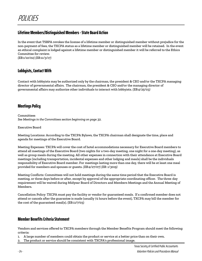## **Lifetime Members/Distinguished Members-State Board Action**

In the event that TSBPA revokes the license of a lifetime member or distinguished member without prejudice for the non-payment of fees, the TXCPA status as a lifetime member or distinguished member will be retained. In the event an ethical complaint is lodged against a lifetime member or distinguished member it will be referred to the Ethics Committee for review.

*(EB:1/10/02) (EB:11/3/17)*

## **Lobbyists, Contact With**

Contact with lobbyists may be authorized only by the chairman, the president & CEO and/or the TXCPA managing director of governmental affairs. The chairman, the president & CEO and/or the managing director of governmental affairs may authorize other individuals to interact with lobbyists. *(EB:4/25/03)*

## **Meetings Policy**

Committees *See Meetings in the Committees section beginning on page 32.* 

Executive Board

Meeting Locations: According to the TXCPA Bylaws, the TXCPA chairman shall designate the time, place and agenda for meetings of the Executive Board.

Meeting Expenses: TXCPA will cover the cost of hotel accommodations necessary for Executive Board members to attend all meetings of the Executive Board (two nights for a two-day meeting, one night for a one-day meeting), as well as group meals during the meeting. All other expenses in connection with their attendance at Executive Board meetings (including transportation, incidental expenses and other lodging and meals) shall be the individuals responsibility of Executive Board member. For meetings lasting more than one day, there will be at least one meal provided for members and spouses or guests. *(EB:4/27/07) (EB: 1/3019)*

Meeting Conflicts: Committees will not hold meetings during the same time period that the Executive Board is meeting, or three days before or after, except by approval of the appropriate coordinating officer. The three-day requirement will be waived during Midyear Board of Directors and Members Meetings and the Annual Meeting of Members.

Cancellation Policy: TXCPA must pay the facility or vendor for guaranteed meals. If a confirmed member does not attend or cancels after the guarantee is made (usually 72 hours before the event), TXCPA may bill the member for the cost of the guaranteed meal(s). (EB:11/7/03)

## **Member Benefits Criteria Statement**

Vendors and services offered to TXCPA members through the Member Benefits Program should meet the following criteria:

1. A large number of members could obtain the product or service at a better price than on their own.

2. The product or service should be consistent with TXCPA's professional image.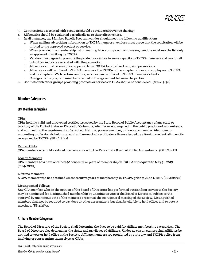- 3. Commissions associated with products should be evaluated (revenue sharing).
- 4. All benefits should be evaluated periodically as to their effectiveness.
- 5. In all instances, the Member Benefit Program vendor should meet the following qualifications:
	- a. When mailing advertising information to TXCPA members, vendors must agree that the solicitation will be limited to the approved product or service.
	- b. When provided the membership list on mailing labels or by electronic means, vendors must use the list only as approved in writing by TXCPA.
	- c. Vendors must agree to promote the product or service in some capacity to TXCPA members and pay for all out-of-pocket costs associated with the promotion.
	- d. All vendors must receive prior approval from TXCPA for all advertising and promotions.
	- e. All services will be offered to TXCPA members, the TXCPA office, chapter offices and employees of TXCPA and its chapters. With certain vendors, services can be offered to TXCPA members' clients.
	- Changes to the program must be reflected in the agreement between the parties.
- 6. Conflicts with other groups providing products or services to CPAs should be considered. *(EB:6/19/98)*

## **Member Categories**

#### **CPA Member Categories**

#### CPAs

CPAs holding valid and unrevoked certificates issued by the State Board of Public Accountancy of any state or territory of the United States or District of Columbia, whether or not engaged in the public practice of accountancy, and not meeting the requirements of a retired, lifetime, 40-year member, or honorary member. Also open to accounting professionals holding a valid and unrevoked certificate or license issued by a foreign credentialing entity recognized by TXCPA*. (EB:4/28/22)*

#### Retired CPAs

CPA members who hold a retired license status with the Texas State Board of Public Accountancy. *(EB:4/28/22)*

#### Legacy Members

CPA members how have obtained 40 consecutive years of membership in TXCPA subsequent to May 31, 2015*. (EB:4/28/22)*

#### Lifetime Members

A CPA member who has obtained 40 consecutive years of membership in TXCPA prior to June 1, 2015*. (EB:4/28/22)*

#### Distinguished Fellows

Any CPA member who, in the opinion of the Board of Directors, has performed outstanding service to the Society may be nominated for distinguished membership by unanimous vote of the Board of Directors, subject to the approval by unanimous vote of the members present at the next general meeting of the Society. Distinguished members shall not be required to pay dues or other assessments, but shall be eligible to hold offices and to vote at meetings. *(EB:4/28/22)*

#### **Affiliate Member Categories:**

The Board of Directors of the Society shall determine the dues to be paid for affiliate membership categories. . The Board of Directors also determines the rights and privileges of affiliates. Under no circumstances shall affiliates be entitled to vote or hold office in the Society. Affiliate members are prohibited by state law and TXCPA policy from implying or representing themselves as CPAs.

Texas Society of Certified Public Accountants

Volunteer Policies and Procedures Manual - 25 -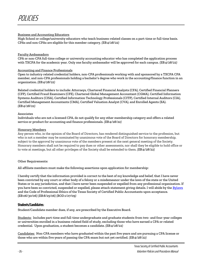#### Business and Accounting Educators

High School or college/university educators who teach business-related classes on a part-time or full-time basis. CPAs and non-CPAs are eligible for this member category. *(EB:4/28/22)*

#### Faculty Ambassadors

CPA or non-CPA full-time college or university accounting educator who has completed the application process with TXCPA for the academic year. Only one faculty ambassador will be approved for each campus. *(EB:4/28/22)*

#### Accounting and Finance Professionals

Open to industry-related credential holders, non-CPA professionals working with and sponsored by a TXCPA CPA member, and non-CPA professionals holding a bachelor's degree who work in the accounting/finance function in an organization. *(EB:4/28/22)*

Related credential holders to include: Attorneys, Chartered Financial Analysts (CFA), Certified Financial Planners (CFP), Certified Fraud Examiners (CFE), Chartered Global Management Accountant (CGMA), Certified Information Systems Auditors (CISA), Certified Information Technology Professionals (CITP), Certified Internal Auditors (CIA), Certified Management Accountants (CMA), Certified Valuation Analyst (CVA), and Enrolled Agents (EA). *(EB:4/28/22)*

#### Associates

Individuals who are not a licensed CPA, do not qualify for any other membership category and offers a related service or product for accounting and finance professionals. *(EB:4/28/22)*

#### Honorary Members

Any person who, in the opinion of the Board of Directors, has rendered distinguished service to the profession, but who is not a member may be nominated by unanimous vote of the Board of Directors for honorary membership, subject to the approval by unanimous vote of the members present at the next general meeting of the Society. Honorary members shall not be required to pay dues or other assessments, nor shall they be eligible to hold office or to vote at meetings, but all other privileges of the Society shall be extended to them. *(EB:4/28/22)*

#### Other Requirements:

All affiliate members must make the following assertions upon application for membership:

I hereby certify that the information provided is correct to the best of my knowledge and belief, that I have never been convicted by any court or other body of a felony or a misdemeanor under the laws of the state or the United States or in any jurisdiction, and that I have never been suspended or expelled from any professional organization. If you have been so convicted, suspended or expelled, please attach statement giving details. I will abide by the [Bylaws](https://www.tx.cpa/docs/default-source/about-tscpa-documents/Governance/tscpa-bylaws-and-code-of-professional-ethics.pdf?sfvrsn=3525e0b1_2) and the Code of Professional Ethics of the Texas Society of Certified Public Accountants upon acceptance. *(EB:06/30/06) (EB:8/25/06) (BOD:1/27/09)*

#### **Students/Candidates:**

Student/Candidate member dues, if any, are prescribed by the Executive Board.

Students: Includes part-time and full-time undergraduate and graduate students from two- and four-year colleges or universities enrolled in a business-related field of study, excluding those who have earned a CPA or related credential. Upon graduation, a student becomes a candidate. *(EB:4/28/22)*

Candidates: Non-CPA members who have graduated within the past five years and are pursuing a CPA license or those who are within five years of passing the CPA exam but not yet certified. *(EB:4/28/22)*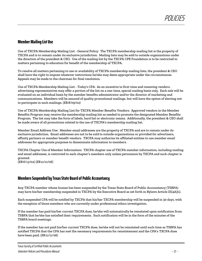## **Member Mailing List Use**

Use of TXCPA Membership Mailing List - General Policy: The TXCPA membership mailing list is the property of TXCPA and is to remain under its exclusive jurisdiction. Mailing lists may be sold to outside organizations under the direction of the president & CEO. Use of the mailing list by the TXCPA CPE Foundation is to be restricted to matters pertaining to education for benefit of the membership of TXCPA.

To resolve all matters pertaining to use or availability of TXCPA membership mailing lists, the president & CEO shall have the right to impose whatever restrictions he/she may deem appropriate under the circumstances. Appeals may be made to the chairman for final resolution.

Use of TXCPA Membership Mailing List - *Today's CPA*: As an incentive to first-time and renewing vendors, advertising representatives may offer a portion of the list on a one-time, special mailing basis only. Each sale will be evaluated on an individual basis by the member benefits administrator and/or the director of marketing and communications. Members will be assured of quality promotional mailings, but will have the option of electing not to participate in such mailings. *(EB:8/09/02)*

Use of TXCPA Membership Mailing List for TXCPA Member Benefits Vendors: Approved vendors in the Member Benefits Program may receive the membership mailing list as needed to promote the designated Member Benefits Program. The list may take the form of labels, hard list or electronic means. Additionally, the president & CEO shall be made aware of all promotions related to the use of TXCPA's membership mailing list.

Member Email Address Use: Member email addresses are the property of TXCPA and are to remain under its exclusive jurisdiction. Email addresses are not to be sold to outside organizations or provided for advertisers, affinity partners or member benefit vendors. TXCPA may authorize its affiliated entities to use member email addresses for appropriate purposes to disseminate information to members.

TXCPA Chapter Use of Member Information: TXCPA chapter use of TXCPA member information, including mailing and email addresses, is restricted to each chapter's members only unless permission by TXCPA and such chapter is granted. *(EB:6/13/02) (EB:11/11/06)*

**Members Suspended by Texas State Board of Public Accountancy**

Any TXCPA member whose license has been suspended by the Texas State Board of Public Accountancy (TSBPA) may have his/her membership suspended in TXCPA by the Executive Board as set forth in Bylaws Article III(4A)(1).

Each suspended CPA will be notified by TXCPA that his/her TXCPA membership will be suspended in 30 days, with the exception of those members who are currently under professional ethics investigation.

If the member has paid his/her current TXCPA dues, he/she will automatically be reinstated upon notification from TSBPA that he/she has satisfied their requirements. Such notification will be in the form of the minutes of the TSBPA board meetings.

If the member has not paid his/her current TXCPA dues, he/she will not be reinstated until such time as TSBPA has notified TXCPA that the CPA has met the necessary requirements for reinstatement and the CPA's TXCPA dues have been paid. *(EB:11/11/06)*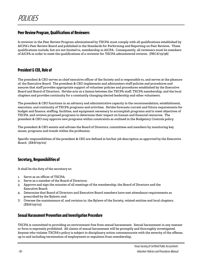## **Peer Review Program, Qualificationsof Reviewers**

A reviewer in the Peer Review Program administered by TXCPA must comply with all qualifications established by AICPA's Peer Review Board and published in the Standards for Performing and Reporting on Peer Reviews*.* These qualifications include, but are not limited to, membership in AICPA. Consequently, all reviewers must be members of AICPA in order to meet the qualifications of a reviewer for TXCPA administered reviews. *(PRC:6/19/98)*

## **President & CEO, Role of**

The president & CEO serves as chief executive officer of the Society and is responsible to, and serves at the pleasure of, the Executive Board. The president & CEO implements and administers staff policies and procedures and assures that staff provides appropriate support of volunteer policies and procedures established by the Executive Board and Board of Directors. He/she acts as a liaison between the TXCPA staff, TXCPA membership, and the local chapters and provides continuity for a constantly changing elected leadership and other volunteers.

The president & CEO functions in an advisory and administrative capacity in the recommendation, establishment, execution, and continuity of TXCPA programs and activities. He/she forecasts current and future requirements for budget and finance, staffing, facilities, and equipment necessary to accomplish programs and to meet objectives of TXCPA, and reviews proposed programs to determine their impact on human and financial resources. The president & CEO may approve new programs within constraints as outlined in the Budgetary Controls policy.

The president & CEO assists and advises the Board of Directors, committees and members by monitoring key issues, programs and trends within the profession.

Specific responsibilities of the president & CEO are defined in his/her job description as approved by the Executive Board. *(EB:8/09/02)*

## **Secretary, Responsibilities of**

It shall be the duty of the secretary to:

- 1. Serve as an officer of TXCPA;
- 2. Serve as a member of the Board of Directors;
- 3. Approve and sign the minutes of all meetings of the membership, the Board of Directors and the Executive Board;
- 4. Determine that Board of Directors and Executive Board members have met attendance requirements as prescribed by the Bylaws; and
- 3. Oversee the maintenance of, and revision to, the Bylaws of the Society, related entities and local chapters. *(EB:8/09/02)*

## **Sexual Harassment Prevention and Investigation Procedure**

TXCPA is committed to providing an environment free from sexual harassment. Sexual harassment in any manner or form is expressly prohibited. All claims of sexual harassment will be promptly and thoroughly investigated. Anyone who violates TXCPA's policy is subject to disciplinary action commensurate with the severity of the offense, up to and including termination of employment or expulsion from membership.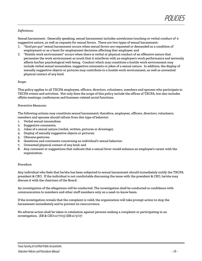#### *Definitions:*

Sexual harassment: Generally speaking, sexual harassment includes unwelcome touching or verbal conduct of a suggestive nature, as well as requests for sexual favors. There are two types of sexual harassment:

- 1. "*Quid pro quo*" sexual harassment occurs when sexual favors are requested or demanded as a condition of employment or as a basis for employment decisions affecting that employee; and
- 2. "Hostile work environment" occurs when there is verbal or physical conduct of an offensive nature that permeates the work environment so much that it interferes with an employee's work performance and seriously affects his/her psychological well-being. Conduct which may constitute a hostile work environment may include verbal sexual innuendoes, suggestive comments or jokes of a sexual nature. In addition, the display of sexually suggestive objects or pictures may contribute to a hostile work environment, as well as unwanted physical contact of any kind.

#### *Scope:*

This policy applies to all TXCPA employees, officers, directors, volunteers, members and spouses who participate in TXCPA events and activities. Not only does the scope of this policy include the offices of TXCPA, but also includes offsite meetings, conferences and business-related social functions.

#### *Preventive Measures:*

The following actions may constitute sexual harassment; therefore, employees, officers, directors, volunteers, members and spouses should refrain from this type of behavior:

- 1. Verbal sexual innuendoes;
- 2. Suggestive comments;
- 3. Jokes of a sexual nature (verbal, written, pictures or drawings);
- 4. Display of sexually suggestive objects or pictures;
- 5. Obscene gestures;
- 6. Questions and comments concerning an individual's sexual behavior;
- 7. Unwanted physical contact of any kind; and
- 8. Any comment or suggestions that indicate that a sexual favor would enhance an employee's career with the organization.

#### *Procedure:*

Any individual who feels that he/she has been subjected to sexual harassment should immediately notify the TXCPA president & CEO. If the individual is not comfortable discussing the issue with the president & CEO, he/she may discuss it with the chairman of the Board.

An investigation of the allegations will be conducted. The investigation shall be conducted in confidence with communication to members and other staff members only on a need-to-know basis.

If the investigation reveals that the complaint is valid, the organization will take prompt action to stop the harassment immediately and to prevent its reoccurrence.

No adverse action shall be taken in retaliation against persons making a complaint or participating in an investigation. *(EB & CEO:11/7/03) (EB:11/3/17)*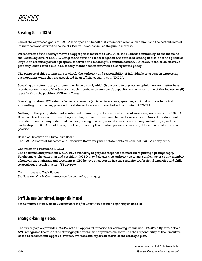## **Speaking Out for TXCPA**

One of the expressed goals of TXCPA is to speak on behalf of its members when such action is in the best interest of its members and serves the cause of CPAs in Texas, as well as the public interest.

Presentation of the Society's views on appropriate matters to AICPA, to the business community, to the media, to the Texas Legislature and U.S. Congress, to state and federal agencies, to standard-setting bodies, or to the public at large is an essential part of a program of service and meaningful communications. However, it can be an effective part only when carried out in an orderly manner consistent with a clearly stated policy.

The purpose of this statement is to clarify the authority and responsibility of individuals or groups in expressing such opinions while they are associated in an official capacity with TXCPA.

Speaking out refers to any statement, written or oral, which (i) purports to express an opinion on any matter by a member or employee of the Society in such member's or employee's capacity as a representative of the Society, or (ii) is set forth as the position of CPAs in Texas.

Speaking out does NOT refer to factual statements (articles, interviews, speeches, etc.) that address technical accounting or tax issues, provided the statements are not presented as the opinion of TXCPA.

Nothing in this policy statement is intended to limit or preclude normal and routine correspondence of the TXCPA Board of Directors, committees, chapters, chapter committees, member sections and staff. Nor is this statement intended to restrict any individual from expressing his/her personal views; however, anyone holding a position of leadership in TXCPA should recognize the probability that his/her personal views might be considered an official position.

Board of Directors and Executive Board: The TXCPA Board of Directors and Executive Board may make statements on behalf of TXCPA at any time.

#### Chairman and President & CEO:

The chairman and president & CEO have authority to prepare responses to matters requiring a prompt reply. Furthermore, the chairman and president & CEO may delegate this authority as to any single matter to any member whenever the chairman and president & CEO believe such person has the requisite professional expertise and skills to speak out on such matter. *(EB:11/3/17)*

Committees and Task Forces: *See Speaking Out in Committees section beginning on page 32.* 

## **Staff Liaison (Committee), Responsibilities of**

*See Committee Staff Liaison, Responsibilities of in Committees section beginning on page 32.*

## **Strategic Planning Process**

The strategic plan provides TXCPA with an approved direction for achieving its mission. TXCPA's Bylaws, Article XVII recognizes the role of the strategic plan within the organization, as well as the responsibility of the Executive Board to recommend, approve, oversee, evaluate and report on status of the strategic plan.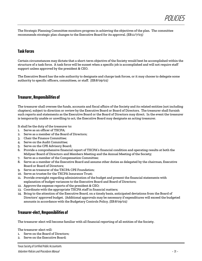

The Strategic Planning Committee monitors progress in achieving the objectives of the plan. The committee recommends strategic plan changes to the Executive Board for its approval. *(EB:11/7/03)*

## **Task Forces**

Certain circumstances may dictate that a short-term objective of the Society would best be accomplished within the structure of a task force. A task force will be sunset when a specific job is accomplished and will not require staff support unless approved by the president & CEO.

The Executive Board has the sole authority to designate and charge task forces, or it may choose to delegate some authority to specific officers, committees, or staff. *(EB:8/09/02)*

## **Treasurer, Responsibilities of**

The treasurer shall oversee the funds, accounts and fiscal affairs of the Society and its related entities (not including chapters), subject to direction or review by the Executive Board or Board of Directors. The treasurer shall furnish such reports and statements as the Executive Board or the Board of Directors may direct. In the event the treasurer is temporarily unable or unwilling to act, the Executive Board may designate an acting treasurer.

It shall be the duty of the treasurer to:

- 1. Serve as an officer of TXCPA;
- 2. Serve as a member of the Board of Directors;
- 3. Chair the Finance Committee;
- 4. Serve on the Audit Committee;
- 5. Serve on the CPE Advisory Board;
- 6. Provide a comprehensive financial report of TXCPA's financial condition and operating results at both the Midyear Board of Directors and Members Meeting and the Annual Meeting of the Society;
- 7. Serve as a member of the Compensation Committee;
- 8. Serve as a member of the Executive Board and assume other duties as delegated by the chairman, Executive Board or Board of Directors;
- 9. Serve as treasurer of the TXCPA CPE Foundation;
- 10. Serve as trustee for the TXCPA Insurance Trust;
- 11. Provide oversight regarding administration of the budget and present the financial statements with explanation of budget variances to the Executive Board and Board of Directors;
- 12. Approve the expense reports of the president & CEO;
- 13. Coordinate with the appropriate TXCPA staff in financial matters;
- 14. Bring to the attention of the Executive Board, on a timely basis, anticipated deviations from the Board of Directors' approved budget. (Additional approvals may be necessary if expenditures will exceed the budgeted amounts in accordance with the Budgetary Controls Policy. *(EB:8/09/02)*

## **Treasurer-elect, Responsibilities of**

The treasurer-elect will become familiar with all financial reporting of all entities of the Society.

The treasurer-elect will:

- 1. Serve on the Board of Directors;
- 2. Serve on the Executive Board;

Texas Society of Certified Public Accountants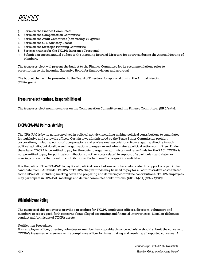- 3. Serve on the Finance Committee;
- 4. Serve on the Compensation Committee;
- 5. Serve on the Audit Committee (non-voting; *ex-officio*);
- 6. Serve on the CPE Advisory Board;
- 7. Serve on the Strategic Planning Committee;
- 8. Serve as trustee for the TXCPA Insurance Trust; and
- 9. Submit a proposed annual budget to the incoming Board of Directors for approval during the Annual Meeting of Members.

The treasurer-elect will present the budget to the Finance Committee for its recommendations prior to presentation to the incoming Executive Board for final revisions and approval.

The budget then will be presented to the Board of Directors for approval during the Annual Meeting. *(EB:8/09/02)*

## **Treasurer-elect Nominee, Responsibilities of**

The treasurer-elect nominee serves on the Compensation Committee and the Finance Committee. *(EB:6/19/98)*

## **TXCPA CPA-PAC Political Activity**

The CPA-PAC is by its nature involved in political activity, including making political contributions to candidates for legislative and statewide offices. Certain laws administered by the Texas Ethics Commission prohibit corporations, including non-profit corporations and professional associations, from engaging directly in such political activity, but do allow such organizations to organize and administer a political action committee. Under these laws, TXCPA is permitted to pay for the costs to organize, administer and raise funds for the PAC. TXCPA is not permitted to pay for political contributions or other costs related to support of a particular candidate nor meetings or events that result in contributions of other benefits to specific candidates.

It is the policy of the CPA-PAC to pay for all political contributions or other costs related to support of a particular candidate from PAC funds. TXCPA or TXCPA chapter funds may be used to pay for all administrative costs related to the CPA-PAC, including meeting costs and preparing and delivering committee contributions. TXCPA employees may participate in CPA-PAC meetings and deliver committee contributions. *(EB:8/24/12) (EB:8/23/08)*

## **Whistleblower Policy**

The purpose of this policy is to provide a procedure for TXCPA employees, officers, directors, volunteers and members to report good-faith concerns about alleged accounting and financial improprieties, illegal or dishonest conduct and/or misuse of TXCPA assets.

#### Notification Procedures

If an employee, officer, director, volunteer or member has a good-faith concern, he/she should submit the concern to TXCPA's treasurer, who serves as the compliance officer for investigating and resolving all reported concerns. A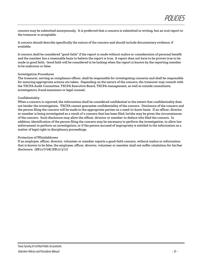concern may be submitted anonymously. It is preferred that a concern is submitted in writing, but an oral report to the treasurer is acceptable.

A concern should describe specifically the nature of the concern and should include documentary evidence, if available.

A concern shall be considered "good-faith" if the report is made without malice or consideration of personal benefit and the member has a reasonable basis to believe the report is true. A report does not have to be proven true to be made in good faith. Good faith will be considered to be lacking when the report is known by the reporting member to be malicious or false.

#### Investigation Procedures

The treasurer, serving as compliance officer, shall be responsible for investigating concerns and shall be responsible for ensuring appropriate actions are taken. Depending on the nature of the concern, the treasurer may consult with the TXCPA Audit Committee, TXCPA Executive Board, TXCPA management, as well as outside consultants, investigators, fraud examiners or legal counsel.

#### Confidentiality

When a concern is reported, the information shall be considered confidential to the extent that confidentiality does not hinder the investigation. TXCPA cannot guarantee confidentiality of the concern. Disclosure of the concern and the person filing the concern will be made to the appropriate parties on a need-to-know basis. If an officer, director or member is being investigated as a result of a concern that has been filed, he/she may be given the circumstances of the concern. Such disclosure may allow the officer, director or member to deduce who filed the concern. In addition, identification of the person filing the concern may be necessary to perform the investigation, to allow law enforcement to perform an investigation, or if the person accused of impropriety is entitled to the information as a matter of legal right in disciplinary proceedings.

#### Protection of Whistleblower

If an employee, officer, director, volunteer or member reports a good-faith concern, without malice or information that is known to be false, the employee, officer, director, volunteer or member shall not suffer retaliation for his/her disclosure. *(EB:11/7/08) (EB:11/3/17)*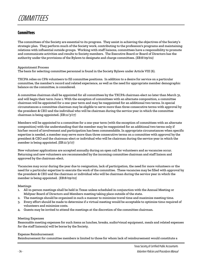## **Committees**

The committees of the Society are essential to its progress. They assist in achieving the objectives of the Society's strategic plan*.* They perform much of the Society work, contributing to the profession's programs and maintaining relations with influential outside groups. Working with staff liaisons, committees have a responsibility to promote and communicate activities and results to Society members. The Executive Board or Board of Directors has the authority under the provisions of the Bylaws to designate and charge committees. *(EB:8/09/02)*

#### Appointment Process

The basis for selecting committee personnel is found in the Society Bylaws under Article VIII (6).

TXCPA relies on CPA volunteers to fill committee positions. In addition to a desire for service on a particular committee, the member's record and related experience, as well as the need for appropriate member demographic balance on the committee, is considered.

A committee chairman shall be appointed for all committees by the TXCPA chairman-elect no later than March 31, and will begin their term June 1. With the exception of committees with an alternate composition, a committee chairman will be appointed for a one-year term and may be reappointed for an additional two terms. In special circumstances a committee chairman may be eligible to serve more than three consecutive terms with approval by the president & CEO and the individual who will be chairman during the service year in which the committee chairman is being appointed. *(EB:11/3/17)*

Members will be appointed to a committee for a one-year term (with the exception of committees with an alternate composition) with the understanding that the member may be reappointed for an additional two terms only if his/her record of involvement and participation has been commendable. In appropriate circumstances when specific expertise is needed, a member may serve more than three consecutive terms on a committee with approval by the president & CEO and the chairman-elect or individual who will be chairman during the service year in which the member is being appointed. *(EB:11/3/17)*

New volunteer applications are accepted annually during an open call for volunteers and as vacancies occur. Returning and new volunteers are recommended by the incoming committee chairman and staff liaison and approved by the chairman-elect.

Vacancies may occur during the year due to resignation, lack of participation, the need for more volunteers or the need for a particular expertise to execute the work of the committee. These vacancies may be filled with approval by the president & CEO and the chairman or individual who will be chairman during the service year in which the member is being appointed. *(EB:8/09/02)*

#### Meetings

- 1. All in-person meetings shall be held in Texas unless scheduled in conjunction with the Annual Meeting or Midyear Board of Directors and Members meeting taking place outside of the state.
- 2. The meetings should be organized in such a manner to minimize travel time and maximize meeting time.
- 3. Every effort should be made to determine if a virtual meeting would be acceptable to optimize time required of volunteers and minimize costs.
- 4. Guests may be invited to attend the meetings at the discretion of the committee chairman.

#### Meeting Expenses

Reasonable meeting expenses for such items as lunches, breaks, audio/visual equipment, meals and related expenses for the staff liaison(s) will be borne by the Society.

#### Expense Reimbursement

Reimbursement for committee members is limited to those for whom lack of reimbursement would constitute a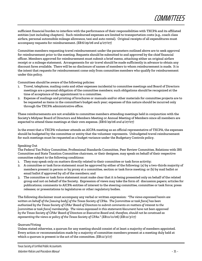sufficient financial burden to interfere with the performance of their responsibilities with TXCPA and its affiliated entities (not including chapters). Such reimbursed expenses are limited to transportation costs (e.g., coach class airfare, personal automobile mileage allowance, taxi and auto rental). Original receipts of all expenditures must accompany requests for reimbursement. *(EB:6/29/06 and 4/27/07)*

Committee members requesting travel reimbursement under the parameters outlined above are to seek approval for reimbursement prior to the meeting. Requests should be submitted to and approved by the chief financial officer. Members approved for reimbursement must submit a brief memo, attaching either an original airfare receipt or a mileage statement. Arrangements for air travel should be made sufficiently in advance to obtain any discount fares available. There will be no disclosure of names of members to whom reimbursement is made. It is the intent that requests for reimbursement come only from committee members who qualify for reimbursement under this policy.

Committees should be aware of the following policies:

- 1. Travel, telephone, mailing costs and other expenses incidental to committee meetings and Board of Directors meetings are a personal obligation of the committee members; such obligations should be recognized at the time of acceptance of the appointment to a committee.
- 2. Expense of mailings and printing of brochures or manuals and/or other materials for committee projects are to be requested as items in the committee's budget each year; expenses of this nature should be incurred only through the TXCPA administrative office.

These reimbursements are not available to committee members attending meetings held in conjunction with the Society's Midyear Board of Directors and Members Meeting or Annual Meeting of Members since all members are expected to attend these meetings at their own expense. *(EB:6/29/06 and 4/27/07)*

In the event that a TXCPA volunteer attends an AICPA meeting as an official representative of TXCPA, the expenses should be budgeted by the committee or entity that the volunteer represents. Unbudgeted travel reimbursement for such meetings must be requested as a budget variance under the Budgetary Controls policy.

#### Speaking Out

The Federal Tax Policy Committee, Professional Standards Committee, Peer Review Committee, Relations with IRS Committee and State Taxation Committee chairmen, or their designee, may speak on behalf of their respective committee subject to the following conditions:

- 1. They may speak only on matters directly related to their committee or task force activity;
- 2. A committee or task force statement must be approved by either of the following: (a) by a two-thirds majority of members present in person or by proxy at a committee, section or task force meeting; or (b) by mail ballot or email ballot if approved by all of the members; and
- 3. The committee or task force statement must make clear that it is being presented only on behalf of the related group and not on behalf of the Society. Expression of views may take the form of: discussion papers; articles for publications; comments to AICPA entities of interest to the steering committee, committee or task force; press releases; or presentations to legislatures or other regulatory bodies.

The following disclaimer must accompany any verbal or written expression: *"The views expressed herein are written on behalf of the [issuing body] of the Texas Society of CPAs. The [committee or task force] has been authorized by the Texas Society of CPAs' Board of Directors to submit comments on matters of interest to the [committee or task force] membership. The views expressed in this statement/document have not been approved by the Texas Society of CPAs' Board of Directors or Executive Board and, therefore, should not be construed as representing the views or policy of the Texas Society of CPAs." (EB:11/11/06) (EB:11/3/17)*

#### Quorum/Voting

Unless stated otherwise, a quorum for any meeting should consist of at least a majority of members appointed. Every action or recommendation made by a majority of committee members present at a meeting duly held at which a quorum is present is the act of the committee. *(EB:11/3/17)*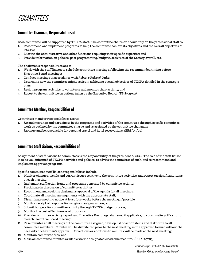## **Committee Chairman, Responsibilities of**

Each committee will be supported by TXCPA staff. The committee chairman should rely on the professional staff to:

- Recommend and implement programs to help the committee achieve its objectives and the overall objectives of TXCPA;
- 2. Execute the administrative and other functions requiring their specific expertise; and
- 3. Provide information on policies, past programming, budgets, activities of the Society overall, etc.

The chairman's responsibilities are to:

- 1. Work with the staff liaison to schedule committee meetings, following the recommended timing before Executive Board meetings;
- 2. Conduct meetings in accordance with *Robert's Rules of Order*;
- 3. Determine how the committee might assist in achieving overall objectives of TXCPA detailed in the strategic plan*;*
- 4. Assign program activities to volunteers and monitor their activity; and
- 5. Report to the committee on actions taken by the Executive Board. *(EB:8/09/02)*

## **Committee Member, Responsibilities of**

Committee member responsibilities are to:

- 1. Attend meetings and participate in the programs and activities of the committee through specific committee work as outlined by the committee charge and as assigned by the committee chairman;
- 2. Arrange and be responsible for personal travel and hotel reservations. *(EB:8/09/02)*

## **Committee Staff Liaison, Responsibilities of**

Assignment of staff liaisons to committees is the responsibility of the president & CEO. The role of the staff liaison is to be well informed of TXCPA activities and policies, to advise the committee of such, and to recommend and implement approved programs.

Specific committee staff liaison responsibilities include:

- 1. Monitor changes, trends and current issues relative to the committee activities, and report on significant items at each meeting;
- 2. Implement staff action items and programs generated by committee activity;
- 3. Participate in discussion of committee activities;
- 4. Recommend and seek the chairman's approval of the agenda for all meetings;
- 5. Coordinate all meeting arrangements with the appropriate staff;
- 6. Disseminate meeting notice at least four weeks before the meeting, if possible;
- 7. Monitor receipt of response forms, give meal guarantees, etc.;
- 8. Submit budgets for committee activity through TXCPA budget process;
- 9. Monitor the cost-effectiveness of programs;
- 10. Provide committee activity report and Executive Board agenda items, if applicable, to coordinating officer prior to each Executive Board meeting;
- 11. Take minutes at all meetings of the committee assigned, develop list of action items and distribute to all committee members. Minutes will be distributed prior to the next meeting in the approved format without the necessity of chairman's approval. Corrections or additions to minutes will be made at the next meeting;
- 12. Maintain committee files; and
- 13. Make all committee minutes available via the designated electronic medium. *(CEO:11/7/03)*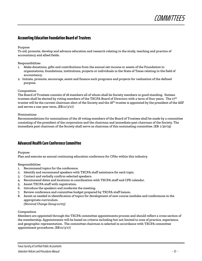

## **Accounting Education Foundation Board of Trustees**

#### Purpose

To aid, promote, develop and advance education and research relating to the study, teaching and practice of accountancy and allied fields.

Responsibilities

- 1. Make donations, gifts and contributions from the annual net income or assets of the Foundation to organizations, foundations, institutions, projects or individuals in the State of Texas relating to the field of accountancy.
- 2. Initiate, promote, encourage, assist and finance such programs and projects for realization of the defined purpose.

#### Composition

The Board of Trustees consists of 18 members all of whom shall be Society members in good standing. Sixteen trustees shall be elected by voting members of the TXCPA Board of Directors with a term of four years. The 17<sup>th</sup> trustee will be the current chairman-elect of the Society and the 18<sup>th</sup> trustee is appointed by the president of the AEF and serves a one-year term. *(EB:11/3/17)*

#### Nominations

Recommendations for nominations of the 18 voting members of the Board of Trustees shall be made by a committee consisting of the president of the corporation and the chairman and immediate past chairman of the Society. The immediate past chairman of the Society shall serve as chairman of this nominating committee. *(EB: 1/30/19)*

## **Advanced Health Care Conference Committee**

#### Purpose

Plan and execute an annual continuing education conference for CPAs within this industry.

#### Responsibilities

- 1. Recommend topics for the conference.
- 2. Identify and recommend speakers with TXCPA staff assistance for each topic.
- 3. Contact and verbally confirm selected speakers.
- 4. Recommend dates and locations in coordination with TXCPA staff and CPE calendar.
- 5. Assist TXCPA staff with registration.
- 6. Introduce the speakers and moderate the meeting.
- 7. Review conference and committee budget prepared by TXCPA staff liaison.
- 8. Assist as needed in identification of topics for development of new course modules and conferences in the appropriate curriculum.

*(Nominal Change Group:11/03)*

#### Composition

Members are appointed through the TXCPA committee appointments process and should reflect a cross section of the membership. Appointments will be based on criteria including but not limited to area of practice, experience, and geographic representation. The committee chairman is selected in accordance with TXCPA committee appointment procedures. *(EB:11/3/17)*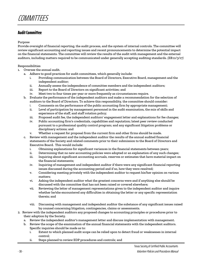## **Audit Committee**

#### Purpose

Provide oversight of financial reporting, the audit process, and the system of internal controls. The committee will review significant accounting and reporting issues and recent pronouncements to determine the potential impact on the financial statements. The committee will review the results of the audit with management and the external auditors, including matters required to be communicated under generally accepting auditing standards. *(EB:11/3/17)*

#### Responsibilities

- 1. Oversee the annual audit.
	- a. Adhere to good practices for audit committees, which generally include:
		- i. Providing communication between the Board of Directors, Executive Board, management and the independent auditor;
		- ii. Annually assess the independence of committee members and the independent auditors;
		- iii. Report to the Board of Directors on significant activities; and
		- iv. Meet two to four times per year or more frequently as circumstances require.
	- b. Evaluate the performance of the independent auditors and make a recommendation for the selection of auditors to the Board of Directors. To achieve this responsibility, the committee should consider:
		- i. Comments on the performance of the public accounting firm by appropriate management;
		- ii. Level of participation by management personnel in the audit examination, the mix of skills and experience of the staff, and staff rotation policy;
		- iii. Proposed audit fee, the independent auditors' engagement letter and explanations for fee changes;
		- iv. Public accounting firm's credentials, capabilities and reputation; latest peer review conducted pursuant to a professional quality control program; and any significant litigation problems or disciplinary actions; and
		- v. Whether a request for proposal from the current firm and other firms should be made.
	- c. Review with management and the independent auditor the results of the annual audited financial statements of the Society and related comments prior to their submission to the Board of Directors and Executive Board. This would include:
		- i. Obtaining explanations for significant variances in the financial statements between years;
		- ii. Determining that no new accounting policies were adopted or an explanation of any such changes;
		- iii. Inquiring about significant accounting accruals, reserves or estimates that have material impact on the financial statements;
		- iv. Inquiring of management and independent auditor if there were any significant financial reporting issues discussed during the accounting period and if so, how they were resolved;
		- v. Considering meeting privately with the independent auditor to request his/her opinion on various matters;
		- vi. Asking the independent auditor what the greatest concerns were and if anything else should be discussed with the committee that has not been raised or covered elsewhere;
		- vii. Reviewing the letter of management representations given to the independent auditor and inquire whether he/she encountered any difficulties in obtaining the letter or any specific representation therein; and
		- viii. Discussing with management and independent auditor the substance of any significant issues raised by counsel concerning litigation, contingencies, claims or assessments.
- 2. Review with the independent auditors any proposed changes to accounting principles or procedures prior to their adoption by the Society.
	- a. Review the independent auditor's management letter and discuss implementation with management.
	- b. Review the scope of the examination of the annual financial statements with the independent auditors. Specific inquiries should be made as to:
		- i. Extent to which planned audit scope can be relied upon to detect fraud or weaknesses in internal control;
		- ii. Steps planned to review EDP procedures and controls; and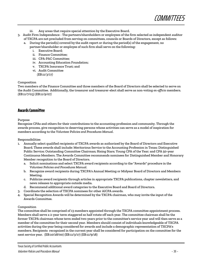

- iii. Any areas that require special attention by the Executive Board.
- 3. Audit Firm Independence The partners/shareholders or employees of the firm selected as independent auditor of TXCPA are not precluded from serving on committees, councils or Boards of Directors, except as follows:
	- a. During the period(s) covered by the audit report or during the period(s) of the engagement, no partner/shareholder or employee of such firm shall serve on the following:
		- i. Executive Board;
		- ii. Finance Committee;
		- iii. CPA-PAC Committee;
		- iv. Accounting Education Foundation;
		- v. TXCPA Insurance Trust; and
		- vi. Audit Committee  *(EB:11/3/17)*

#### Composition

Two members of the Finance Committee and three members of the Board of Directors shall be selected to serve on the Audit Committee. Additionally, the treasurer and treasurer-elect shall serve as non-voting *ex-officio* members. *(EB:11/7/03) (EB:11/9/07)*

## **Awards Committee**

#### Purpose

Recognize CPAs and others for their contributions to the accounting profession and community. Through the awards process, give recognition to deserving persons whose activities can serve as a model of inspiration for members according to the *Volunteer Policies and Procedures Manual*.

#### Responsibilities

- 1. Annually select qualified recipients of TXCPA awards as authorized by the Board of Directors and Executive Board. These awards shall include: Meritorious Service to the Accounting Profession in Texas; Distinguished Public Service; Outstanding Committee Chairman; Rising Stars; Young CPA of the Year; and CPA 50-year Continuous Members. The Awards Committee recommends nominees for Distinguished Member and Honorary Member recognition to the Board of Directors.
	- a. Solicit nominations and select TXCPA award recipients according to the "Awards" procedure in the *Volunteer Policies and Procedures Manual*.
	- b. Recognize award recipients during TXCPA's Annual Meeting or Midyear Board of Directors and Members Meeting.
	- c. Publicize award recipients through articles in appropriate TXCPA publications, chapter newsletters, and news releases to appropriate outside media.
	- d. Recommend additional award categories to the Executive Board and Board of Directors.
	- 3. Coordinate the selection of TXCPA nominees for other AICPA awards.
- 4. Special Recognition Awards will be determined by the TXCPA chairman, who may invite the input of the Awards Committee.

#### Composition

The committee shall be comprised of 13 members appointed through the TXCPA committee appointment process. Members shall serve a 2-year term staggered so half rotate off each year. The committee chairman shall be the former TXCPA chairman whose term ended two years prior to the committee's service year and will then serve as a member of the committee for their second year. Members should consist of individuals knowledgeable of TXCPA activities during the year being considered for awards and include a demographic representation of TXCPA's members. Recipients recognized in the current year shall be considered for participation on the committee for the next service year. (EB:10/28/00) (EB:11/3/17) (EB:11/9/18)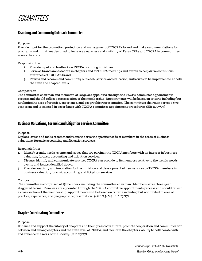## **Branding and Community Outreach Committee**

Purpose

Provide input for the promotion, protection and management of TXCPA's brand and make recommendations for programs and initiatives designed to increase awareness and visibility of Texas CPAs and TXCPA in communities across the state.

Responsibilities

- 1. Provide input and feedback on TXCPA branding initiatives.
- 2. Serve as brand ambassadors in chapters and at TXCPA meetings and events to help drive continuous awareness of TXCPA's brand.
- 3. Review and recommend community outreach (service and education) initiatives to be implemented at both the state and chapter levels.

#### Composition

The committee chairman and members-at-large are appointed through the TXCPA committee appointments process and should reflect a cross section of the membership. Appointments will be based on criteria including but not limited to area of practice, experience, and geographic representation. The committee chairman serves a twoyear term and is selected in accordance with TXCPA committee appointment procedures. (EB: 11/07/19)

## **Business Valuations, Forensic and Litigation Services Committee**

Purpose

Explore issues and make recommendations to serve the specific needs of members in the areas of business valuations, forensic accounting and litigation services.

Responsibilities

- 1. Identify trends, needs, events and issues that are pertinent to TXCPA members with an interest in business valuation, forensic accounting and litigation services.
- 2. Discuss, identify and communicate services TXCPA can provide to its members relative to the trends, needs, events and issues identified above.
- 3. Provide creativity and innovation for the initiation and development of new services to TXCPA members in business valuation, forensic accounting and litigation services.

#### Composition

The committee is comprised of 15 members, including the committee chairman. Members serve three-year, staggered terms. Members are appointed through the TXCPA committee appointments process and should reflect a cross section of the membership. Appointments will be based on criteria including but not limited to area of practice, experience, and geographic representation. *(EB:6/29/06) (EB:11/3/17)*

## **Chapter Coordinating Committee**

Purpose

Enhance and support the vitality of chapters and their grassroots efforts, promote cooperation and communication between and among chapters and the state level of TXCPA, and facilitate the chapters' ability to collaborate with and enhance the work of the Society. *(EB:11/3/17)*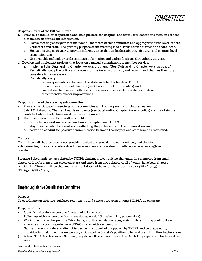**COMMITTEES** 

Responsibilities of the full committee

- 1. Provide a conduit for cooperation and dialogue between chapter- and state-level leaders and staff, and for the dissemination of relevant information.
	- a. Host a meeting each year that includes all members of this committee and appropriate state-level leaders, volunteers and staff. The primary purpose of the meeting is to discuss relevant issues and share ideas.
	- b. Host a meeting each year to provide information to chapter leaders about their state- and chapter-level responsibilities.
	- c. Use available technology to disseminate information and gather feedback throughout the year.
- 2. Develop and implement projects that focus on a mutual commitment to member service.
	- a. Implement the Outstanding Chapter Awards program. (See Outstanding Chapter Awards policy.) Periodically study the policy and process for the Awards program, and recommend changes the group considers to be necessary.
	- b. Periodically study:
		- i. cross-representation between the state and chapter levels of TSCPA;
		- ii. the number and size of chapters (see Chapter Size Groups policy); and
		- iii. current mechanisms at both levels for delivery of service to members and develop recommendations for improvement.

Responsibilities of the steering subcommittee

- 1. Plan and participate in meetings of the committee and training events for chapter leaders.
- 2. Select Outstanding Chapter Awards recipients (see Outstanding Chapter Awards policy) and maintain the confidentiality of selections until they are announced.
- 3. Each member of the subcommittee should:
	- a. promote cooperation between and among chapters and TXCPA;
	- b. stay informed about current issues affecting the profession and the organization; and
	- c. serve as a conduit for positive communication between the chapter and state levels as requested.

#### Composition

Committee - all chapter presidents, presidents-elect and president-elect nominees, and steering subcommittee; chapter executive directors/secretaries and coordinating officer serve as an *ex officio* member.

Steering Subcommittee - appointed by TXCPA chairman: a committee chairman, five members from small chapters, four from medium-sized chapters and three from large chapters, all of whom have been chapter presidents. The committee chairman can – but does not have to – be one of those 12. *(EB:4/25/03) (EB:8/5/11) (EB:4/28/17)*

## **Chapter Legislative Coordinators Committee**

#### Purpose

To coordinate an effective legislator relationship and contact program among TXCPA's 20 chapters.

#### Responsibilities

- 1. Identify and train key persons for statewide legislators.
- 2. Follow up with key persons during session as needed (i.e., after a key person alert).
- 3. Working with chapter public affairs chairs, monitor legislative races, assist in determining contribution amounts and coordinate delivery of PAC checks with key persons.
- 4. Gain an in-depth understanding of issues being supported or opposed by TXCPA and be prepared to, individually or along with a key person, articulate the Society's position to legislators within the chapter's area.
- 5. Attend TXCPA's Grassroots Seminar, Legislative Briefing and Day at the Capitol in preparation for legislative session.

Texas Society of Certified Public Accountants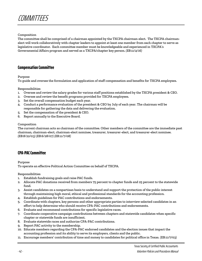

#### Composition

The committee shall be comprised of a chairman appointed by the TXCPA chairman-elect. The TXCPA chairmanelect will work collaboratively with chapter leaders to appoint at least one member from each chapter to serve as legislative coordinator. Each committee member must be knowledgeable and experienced in TXCPA's Governmental Affairs program and served as a TXCPA/chapter key person. *(EB:11/4/16)*

## **Compensation Committee**

Purpose

To guide and oversee the formulation and application of staff compensation and benefits for TXCPA employees.

#### Responsibilities

- 1. Oversee and review the salary grades for various staff positions established by the TXCPA president & CEO.
- 2. Oversee and review the benefit programs provided for TXCPA employees.
- 3. Set the overall compensation budget each year.
- 4. Conduct a performance evaluation of the president & CEO by July of each year. The chairman will be responsible for gathering the data and delivering the evaluation.
- 5. Set the compensation of the president & CEO.
- 6. Report annually to the Executive Board.

#### Composition

The current chairman acts as chairman of the committee. Other members of the committee are the immediate past chairman, chairman-elect, chairman-elect nominee, treasurer, treasurer-elect, and treasurer-elect nominee. *(EB:8/22/03) (EB:6/28/07) (EB:11/7/08)*

## **CPA-PAC Committee**

#### Purpose

To operate an effective Political Action Committee on behalf of TXCPA.

#### Responsibilities

- 1. Establish fundraising goals and raise PAC funds.
- 2. Allocate PAC donations received from members 75 percent to chapter funds and 25 percent to the statewide fund.
- 3. Assist candidates on a nonpartisan basis to understand and support the protection of the public interest through maintaining high moral, ethical and professional standards for the accounting profession.
- 4. Establish guidelines for PAC contributions and endorsements.
- 5. Coordinate with chapters, key persons and other appropriate parties to interview selected candidates in an effort to help determine who should receive CPA-PAC contributions and endorsements.
- 6. Evaluate and recommend contributions for specific legislative races.
- 7. Coordinate cooperative campaign contributions between chapters and statewide candidates when specific chapter or statewide funds are insufficient.
- 8. Evaluate statewide races and authorize CPA-PAC contributions.
- 9. Report PAC activity to the membership.
- 10. Educate members regarding the CPA-PAC endorsed candidates and the election issues that impact the accounting profession and its ability to serve its employers, clients and the public.
- 11. Encourage members' contribution of time and money to candidates for political office in Texas. (EB:11/7/03)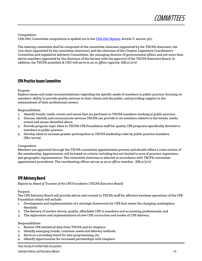

Composition CPA-PAC Committee composition is spelled out in th[e CPA-PAC Bylaws,](https://www.tx.cpa/docs/default-source/about-tscpa-documents/governance/cpa-pac-bylaws.pdf?sfvrsn=dc15eab1_4) Article V, section 3(c).

The steering committee shall be comprised of the committee chairman (appointed by the TXCPA chairman), the vice-chair (appointed by the committee chairman), and the chairmen of the Chapter Legislative Coordinators Committee and Legislative Advisory Committees, the managing director of governmental affairs and not more than eleven members appointed by the chairman of the Society with the approval of the TXCPA Executive Board. In addition, the TXCPA president & CEO will serve in an *ex officio* capacity. *(EB:11/3/17)*

## **CPA Practice Issues Committee**

#### Purpose

Explore issues and make recommendations regarding the specific needs of members in public practice, focusing on members' ability to provide quality services to their clients and the public; and providing support to the enhancement of their professional careers.

#### Responsibilities

- 1. Identify trends, needs, events and issues that are pertinent to TXCPA members working in public practice.
- 2. Discuss, identify and communicate services TXCPA can provide to its members relative to the trends, needs, events and issues identified above.
- 3. Provide program topic ideas to TXCPA CPE Foundation staff for quality CPE programs specifically directed to members in public practice.
- 4. Develop ideas to increase greater participation in TXCPA leadership roles by public practice members. *(EB:1/22/04)*

#### Composition

Members are appointed through the TXCPA committee appointments process and should reflect a cross section of the membership. Appointments will be based on criteria including but not limited to area of practice, experience, and geographic representation. The committee chairman is selected in accordance with TXCPA committee appointment procedures. The coordinating officer serves as an *ex officio* member. *(EB:11/3/17)*

## **CPE Advisory Board**

*Reports to: Board of Trustees of the CPE Foundation (TXCPA Executive Board)*

Purpose

The CPE Advisory Board will provide advice and counsel to TXCPA staff for effective business operations of the CPE Foundation which will include:

- 1. Development and implementation of a strategic framework for CPE that meets the changing marketplace demands;
- 2. The delivery of market-driven, quality, affordable CPE to members and accounting professionals; and
- 3. The exploration and implementation of new CPE curriculum and modes of CPE delivery.

#### Responsibilities

- 1. Review CPE statistical data from TXCPA and its chapters.
- 2. Identify emerging trends, customer needs and delivery methods.
- 3. Serve as a sounding board for new programming, etc.
- 4. Identify opportunities for increased partnerships with chapters.

#### Texas Society of Certified Public Accountants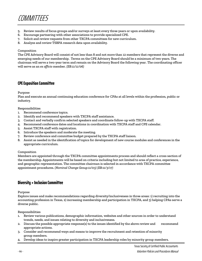

- 5. Review results of focus groups and/or surveys at least every three years or upon availability.
- 6. Encourage partnering with other associations to provide specialized CPE.
- 7. Solicit and review requests from other TXCPA committees for new curriculum.
- 8. Analyze and review TSBPA research data upon availability.

#### Composition

The CPE Advisory Board will consist of not less than 8 and not more than 12 members that represent the diverse and emerging needs of our membership. Terms on the CPE Advisory Board should be a minimum of two years. The chairman will serve a two-year term and remain on the Advisory Board the following year. The coordinating officer will serve as an *ex officio* member. *(EB:11/11/06)*

## **CPE Exposition Committee**

#### Purpose

Plan and execute an annual continuing education conference for CPAs at all levels within the profession, public or industry.

#### Responsibilities

- 1. Recommend conference topics.
- 2. Identify and recommend speakers with TXCPA staff assistance.
- 3. Contact and verbally confirm selected speakers and coordinate follow-up with TXCPA staff.
- 4. Recommend conference dates and locations in coordination with TXCPA staff and CPE calendar.
- 5. Assist TXCPA staff with registration.
- 6. Introduce the speakers and moderate the meeting.
- 7. Review conference and committee budget prepared by the TXCPA staff liaison.
- 8. Assist as needed in the identification of topics for development of new course modules and conferences in the appropriate curriculum.

#### Composition

Members are appointed through the TXCPA committee appointments process and should reflect a cross section of the membership. Appointments will be based on criteria including but not limited to area of practice, experience, and geographic representation. The committee chairman is selected in accordance with TXCPA committee appointment procedures. *(Nominal Change Group:11/03) (EB:11/3/17)*

## **Diversity + InclusionCommittee**

Purpose

Explore issues and make recommendations regarding diversity/inclusiveness in three areas: 1) recruiting into the accounting profession in Texas, 2) increasing membership and participation in TXCPA, and 3) helping CPAs serve a diverse public.

Responsibilities

- 1. Review various publications, demographic information, websites and other sources in order to understand trends, needs, and issues relating to diversity and inclusiveness.
- 2. Discuss the possible appropriate response(s) to the issues identified by the above review and recommend appropriate actions.
- 3. Consider and recommend ways and means to improve the recruitment and retention of minority group members.
- 4. Develop ideas to inspire greater participation in TXCPA leadership roles by minority group members.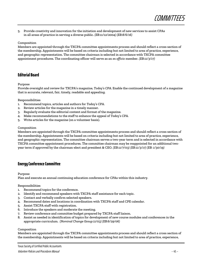

5. Provide creativity and innovation for the initiation and development of new services to assist CPAs in all areas of practice in serving a diverse public. *(EB:11/12/2004) (EB:8/6/16)*

#### Composition

Members are appointed through the TXCPA committee appointments process and should reflect a cross section of the membership. Appointments will be based on criteria including but not limited to area of practice, experience, and geographic representation. The committee chairman is selected in accordance with TXCPA committee appointment procedures. The coordinating officer will serve as an *ex officio* member. *(EB:11/3/17)*

## **Editorial Board**

#### Purpose

Provide oversight and review for TXCPA's magazine, *Today's CPA.* Enable the continued development of a magazine that is accurate, relevant, fair, timely, readable and appealing.

#### Responsibilities

- 1. Recommend topics, articles and authors for *Today's CPA.*
- 2. Review articles for the magazine in a timely manner.
- 3. Regularly evaluate the editorial content and format of the magazine.
- 4. Make recommendations to the staff to enhance the appeal of *Today's CPA.*
- 5. Write articles for the magazine (on a volunteer basis).

#### Composition

Members are appointed through the TXCPA committee appointments process and should reflect a cross section of the membership. Appointments will be based on criteria including but not limited to area of practice, experience, and geographic representation. The committee chairman serves a two-year term and is selected in accordance with TXCPA committee appointment procedures. The committee chairman may be reappointed for an additional twoyear term if approved by the chairman-elect and president & CEO. *(EB:11/7/03) (EB:11/3/17) (EB: 1/30/19)*

## **Energy Conference Committee**

Purpose

Plan and execute an annual continuing education conference for CPAs within this industry.

#### Responsibilities

- 1. Recommend topics for the conference.
- 2. Identify and recommend speakers with TXCPA staff assistance for each topic.
- 3. Contact and verbally confirm selected speakers.
- 4. Recommend dates and locations in coordination with TXCPA staff and CPE calendar.
- 5. Assist TXCPA staff with registration.
- 6. Introduce the speakers and moderate the meeting.
- 7. Review conference and committee budget prepared by TXCPA staff liaison.
- 8. Assist as needed in identification of topics for development of new course modules and conferences in the appropriate curriculum. *(Nominal Change Group:11/03) (EB:6/29/06)*

#### Composition

Members are appointed through the TXCPA committee appointments process and should reflect a cross section of the membership. Appointments will be based on criteria including but not limited to area of practice, experience,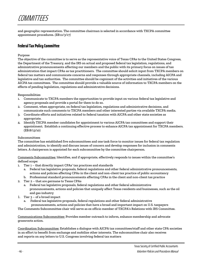and geographic representation. The committee chairman is selected in accordance with TXCPA committee appointment procedures. *(EB:11/3/17)*

## **Federal Tax Policy Committee**

#### Purpose

The objective of the committee is to serve as the representative voice of Texas CPAs to the United States Congress, the Department of the Treasury, and the IRS on actual and proposed federal tax legislation, regulations, and administrative pronouncements affecting our members and the public with its primary focus on issues of tax administration that impact CPAs as tax practitioners. The committee should solicit input from TXCPA members on federal tax matters and communicate concerns and responses through appropriate channels, including AICPA and legislative and tax authorities. The committee should be cognizant of the activities and initiatives of the various AICPA tax committees. The committee should provide a valuable source of information to TXCPA members on the effects of pending legislation, regulations and administrative decisions.

#### Responsibilities

- 1. Communicate to TXCPA members the opportunities to provide input on various federal tax legislative and agency proposals and provide a portal for them to do so.
- 2. Comment, when appropriate, on federal tax legislation, regulations and administrative decisions, and communicate such comments to TXCPA members and other interested parties via available TXCPA media.
- 3. Coordinate efforts and initiatives related to federal taxation with AICPA and other state societies as appropriate.
- 4. Identify TXCPA member candidates for appointment to various AICPA tax committees and support their appointment. Establish a continuing effective process to enhance AICPA tax appointment for TXCPA members. (EB:8/13/10)

#### Subcommittees

The committee has established five subcommittees and one task force to monitor issues for federal tax regulation and administration, to identify and discuss issues of concern and develop responses for inclusion in comments letters. A chairperson is appointed for each subcommittee by the committee chairperson.

Comments Subcommittee: Identifies, and if appropriate, effectively responds to issues within the committee's defined scope:

- Tier 1 that directly impact CPAs' tax practices and standards
	- a. Federal tax legislative proposals, federal regulations and other federal administrative pronouncements, actions and policies affecting CPAs in the client and non-client tax practice of public accountancy
	- b. Professional standard pronouncements affecting CPAs in the client and non-client tax practice
- 2. Tier 2 that are germane to Texas CPAs
	- a. Federal tax legislative proposals, federal regulations and other federal administrative pronouncements, actions and policies that uniquely affect Texas residents and businesses, such as the oil and gas industry
- 1. Tier 3 of a broad impact
	- Federal tax legislative proposals, federal regulations and other federal administrative pronouncements, actions and policies that have a broad and important impact on U.S. taxpayers

The Comments Subcommittee chair will serve as ex officio member of TXCPA's Relations with IRS Committee.

Communications Subcommittee: Provides member outreach to inform, enhance membership and advocate grassroots action.

Coordination Subcommittee: Establishes a dialogue with AICPA tax committees/staff and other state CPA societies in an effort to benefit from exchange and mobilize other interests. The subcommittee chair also receives and reports on any letters to U.S. Congress involving federal tax matters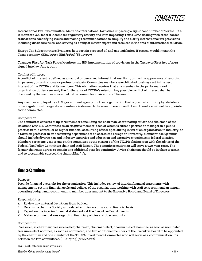

International Tax Subcommittee: Identifies international tax issues impacting a significant number of Texas CPAs. It monitors U.S. federal income tax regulatory activity and laws impacting Texas CPAs dealing with cross-border transactions; identifying issues and making recommendations to simplify and clarify international tax provisions, including disclosure rules; and serving as a subject matter expert and resource in the area of international taxation.

Energy Tax Subcommittee: Evaluates how certain proposed oil and gas legislation, if passed, would impact the Texas economy. (EB:1/25/09; EB:8/13/10) *(EB:11/3/17)*

Taxpayer First Act Task Force: Monitors the IRS' implementation of provisions in the Taxpayer First Act of 2019 signed into law July 1, 2019.

#### Conflict of Interest

A conflict of interest is defined as an actual or perceived interest that results in, or has the appearance of resulting in, personal, organizational or professional gain. Committee members are obligated to always act in the best interest of the TXCPA and its members. This obligation requires that any member, in the performance of organization duties, seek only the furtherance of TXCPA's mission. Any possible conflict of interest shall be disclosed by the member concerned to the committee chair and staff liaison.

Any member employed by a U.S. government agency or other organization that is granted authority by statute or other regulations to regulate accountants is deemed to have an inherent conflict and therefore will not be appointed to the committee.

#### Composition

The committee consists of up to 30 members, including the chairman, coordinating officer, the chairman of the Relations with IRS Committee as an *ex officio* member, each of whom is either a partner or manager in a public practice firm, a controller or higher financial accounting officer specializing in tax of an organization in industry, or a taxation professor in an accounting department of an accredited college or university. Members' backgrounds should include diverse, tax and industry expertise and education and extensive experience in federal taxation. Members serve one-year terms on the committee at the pleasure of the TXCPA chairperson with the advice of the Federal Tax Policy Committee chair and staff liaison. The committee chairman will serve a two-year term. The former chairman agrees to remain one additional year for continuity. A vice-chairman should be in place to assist and to presumably succeed the chair. *(EB:11/3/17)*

## **Finance Committee**

Purpose

Provide financial oversight for the organization. This includes review of interim financial statements with management, setting financial goals and policies of the organization, working with staff to recommend an annual operating budget and recommending member dues amount to the Executive Board and Board of Directors.

#### Responsibilities

- 1. Review any material deviations from budget.
- 2. Determine that the Society and related entities are on a sound financial basis.
- 3. Report on the interim financial statements at the Executive Board meeting.
- 2. Make recommendations regarding financial policies and dues amounts.

#### Composition

Treasurer, as chairman; treasurer-elect; chairman, chairman-elect; chairman-elect nominee, as soon as nominated; treasurer-elect nominee, as soon as nominated; and two additional members of the Executive Board to be appointed by the chairman and one member of the TXCPA Investments Committee who will serve as a communication link between the two committees. *(EB:11/7/03) (EB:8/24/12)*

Texas Society of Certified Public Accountants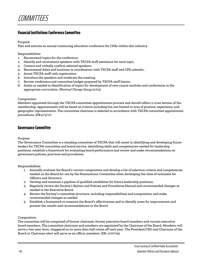## **Financial Institutions Conference Committee**

#### Purpose

Plan and execute an annual continuing education conference for CPAs within this industry.

#### Responsibilities

- 1. Recommend topics for the conference.
- 2. Identify and recommend speakers with TXCPA staff assistance for each topic.
- 3. Contact and verbally confirm selected speakers.
- 4. Recommend dates and locations in coordination with TXCPA staff and CPE calendar.
- 5. Assist TXCPA staff with registration.
- 6. Introduce the speakers and moderate the meeting.
- 7. Review conference and committee budget prepared by TXCPA staff liaison.
- 8. Assist as needed in identification of topics for development of new course modules and conferences in the appropriate curriculum. *(Nominal Change Group:11/03)*

#### Composition

Members appointed through the TXCPA committee appointments process and should reflect a cross section of the membership. Appointments will be based on criteria including but not limited to area of practice, experience, and geographic representation. The committee chairman is selected in accordance with TXCPA committee appointment procedures. *(EB:11/3/17)*

## **Governance Committee**

#### Purpose

The Governance Committee is a standing committee of TXCPA that will assist in identifying and developing future leaders for TXCPA committee and board service, identifying skills and competencies needed for leadership positions, establish a framework for evaluating board performance and review and make recommendations on governance policies, practices and procedures.

#### Responsibilities

- 1. Annually evaluate the Board's current composition and develop a list of selection criteria and competencies needed on the Board for use by the Nominations Committee when developing the slate of nominees for Officers and Directors.
- 2. Develop and maintain a pipeline of qualified candidates for future leadership positions.
- 3. Regularly review the Society's Bylaws and Policies and Procedures Manual and recommended changes as needed to the Executive Board.
- 4. Review the Society's committee structure, including responsibilities and composition, and make recommended changes as needed
- 5. Establish a framework to measure the Board's effectiveness and to identify areas for improvement and present the results and recommendations to the Board

#### Composition

The committee will be comprised of former chairmen, former executive board members and current executive board members. The committee chairman and members are appointed by the Chairman of the Board. Members will serve a two-year term, staggered so no more than half rotate off each year. The President/CEO and Chairman of the Board or Chairman-elect will serve as ex-officio members. (EB: 11/07/19)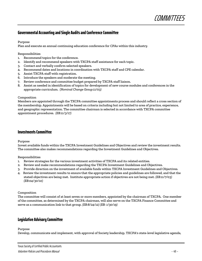

## **Governmental Accounting and Single Audits and Conference Committee**

#### Purpose

Plan and execute an annual continuing education conference for CPAs within this industry.

#### Responsibilities

- 1. Recommend topics for the conference.
- 2. Identify and recommend speakers with TXCPA staff assistance for each topic.
- 3. Contact and verbally confirm selected speakers.
- 4. Recommend dates and locations in coordination with TXCPA staff and CPE calendar.
- 5. Assist TXCPA staff with registration.
- 6. Introduce the speakers and moderate the meeting.
- 7. Review conference and committee budget prepared by TXCPA staff liaison.
- 8. Assist as needed in identification of topics for development of new course modules and conferences in the appropriate curriculum. *(Nominal Change Group:11/03)*

#### Composition

Members are appointed through the TXCPA committee appointments process and should reflect a cross section of the membership. Appointments will be based on criteria including but not limited to area of practice, experience, and geographic representation. The committee chairman is selected in accordance with TXCPA committee appointment procedures. *(EB:11/3/17)*

## **Investments Committee**

#### Purpose

Invest available funds within the TXCPA Investment Guidelines and Objectives and review the investment results. The committee also makes recommendations regarding the Investment Guidelines and Objectives.

#### Responsibilities

- 1. Review strategies for the various investment activities of TXCPA and its related entities.
- 2. Review and make recommendations regarding the TXCPA Investment Guidelines and Objectives.
- 3. Provide direction on the investment of available funds within TXCPA Investment Guidelines and Objectives.
- 4. Review the investment results to ensure that the appropriate policies and guidelines are followed, and that the stated objectives are being met. Institute appropriate action if objectives are not being met. *(EB:11/7/03) (EB:04/30/10)*

#### Composition

The committee will consist of at least seven or more members, appointed by the chairman of TXCPA. One member of the committee, as determined by the TXCPA chairman, will also serve on the TXCPA Finance Committee and serve as a communication link to that group. *(EB:8/24/12) (EB: 1/30/19)*

## **Legislative Advisory Committee**

#### Purpose

Develop, communicate and implement, with approval of Society leadership, TXCPA's state-level legislative agenda,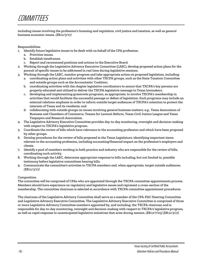

including issues involving the profession's licensing and regulation, civil justice and taxation, as well as general business economic issues. *(EB:11/3/17)*

#### Responsibilities

- 1. Identify future legislative issues to be dealt with on behalf of the CPA profession.
	- a. Prioritize issues.
	- b. Establish timeframes.
	- c. Report and recommend positions and actions to the Executive Board.
- 2. Working through the Legislative Advisory Executive Committee (LAEC), develop proposed action plans for the pursuit of specific issues to be addressed in real time during legislative sessions.
- 3. Working through the LAEC, monitor progress and take appropriate action on proposed legislation, including:
	- a. coordinating action plans and activities with other TXCPA groups, such as the State Taxation Committee and outside groups such as the Accountants' Coalition;
	- b. coordinating activities with the chapter legislative coordinators to assure that TXCPA's key persons are properly educated and utilized to deliver the TXCPA legislative message to Texas lawmakers;
	- c. developing and implementing grassroots programs, as appropriate, to involve TXCPA's membership in activities that would facilitate the successful passage or defeat of legislation. Such programs may include an external relations emphasis in order to inform outside target audiences of TXCPA's intention to protect the interests of Texas and its residents; and
	- d. collaborating with outside groups on issues involving general business matters; e.g., Texas Association of Business and Chambers of Commerce, Texans for Lawsuit Reform, Texas Civil Justice League and Texas Taxpayers and Research Association.
- 4. The Legislative Advisory Executive Committee provides day-to-day monitoring, oversight and decision-making with respect to TXCPA's legislative program.
- 5. Coordinate the review of bills which have relevance to the accounting profession and which have been proposed by other groups.
- 6. Develop procedures for the review of bills proposed in the Texas Legislature, identifying important items relevant to the accounting profession, including accounting/financial impact on the profession's employers and clients.
- 7. Identify a pool of members working in both practice and industry who are responsible for the review of bills, coordinating such activity.
- 8. Working through the LAEC, determine appropriate response to bills including, but not limited to, possible testimony before legislative committees hearing bills.
- 9. Communicate the committee's activities to TXCPA members and, when appropriate, target outside audiences. *(EB:11/3/17)*

#### Composition

The committee will be comprised of CPAs who are appointed through the TXCPA committee appointments process. Members should have experience on regulatory and legislative issues and represent a cross-section of the membership. The committee chairman is selected in accordance with TXCPA committee appointment procedures.

The chairman of the Legislative Advisory Committee shall serve as a member of the CPA-PAC Steering Committee and Legislative Advisory Executive Committee. The Legislative Advisory Executive Committee is comprised of three or more Legislative Advisory Committee members appointed by, and including, the TXCPA chairman and is responsible for day-to-day monitoring, oversight and decision-making with respect to TXCPA's legislative program, as well as rapid response to unanticipated legislative initiatives that arise during session. *(EB:11/7/03) (EB:11/3/17)*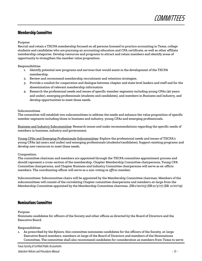## **Membership Committee**

#### Purpose

Recruit and retain a TXCPA membership focused on all persons licensed to practice accounting in Texas, college students and candidates who are pursuing an accounting education and CPA certificate, as well as other affiliate membership categories. Develop resources and programs to attract and retain members and identify areas of opportunity to strengthen the member value proposition.

#### Responsibilities

- 1. Identify potential new programs and services that would assist in the development of the TXCPA membership.
- 2. Review and recommend membership recruitment and retention strategies.
- 3. Provide a conduit for cooperation and dialogue between chapter and state level leaders and staff and for the dissemination of relevant membership information
- 4. Research the professional needs and issues of specific member segments including young CPAs (40 years and under), emerging professionals (students and candidates), and members in Business and Industry, and develop opportunities to meet those needs.

#### Subcommittees

The committee will establish two subcommittees to address the needs and enhance the value proposition of specific member segments including those in business and industry, young CPAs and emerging professionals.

Business and Industry Subcommittee: Research issues and make recommendations regarding the specific needs of members in business, industry and government.

Young CPAs and Emerging Professionals Subcommittee: Explore the professional needs and issues of TXCPA's young CPAs (40 years and under) and emerging professionals (students/candidates). Support existing programs and develop new resources to meet these needs.

#### Composition

The committee chairman and members are appointed through the TXCPA committee appointment process and should represent a cross-section of the membership. Chapter Membership Committee chairpersons, Young CPA Committee chairpersons, and Chapter Business and Industry Committee chairpersons will serve as ex-officio members. The coordinating officer will serve as a non-voting *ex officio* member.

Subcommittees: Subcommittee chairs will be appointed by the Membership Committee chairman. Members of the subcommittees will consist of the correlating Chapter committee chairpersons and members-at-large from the Membership Committee appointed by the Membership Committee chairman. *(EB:1/20/03) (EB:11/3/17) (EB: 11/07/19)*

## **Nominations Committee**

#### Purpose

Nominate candidates for officers of the Society and other offices as directed by the Board of Directors and the Executive Board.

#### Responsibilities

1. As prescribed by the Bylaws, this committee nominates candidates for the officers of the Society, at-large Executive Board members, members-at-large of the Board of Directors and members of the Nominations Committee. The committee shall also recommend candidates for consideration as members from Texas to serve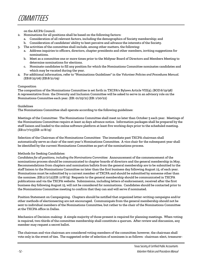on the AICPA Council.

- 2. Nominations for all positions shall be based on the following factors:
	- a. Consideration of all relevant factors, including the demographics of Society membership; and
	- b. Consideration of candidates' ability to best perceive and advance the interests of the Society.
- 3. The activities of the committee shall include, among other matters, the following:
	- a. Address inquiries to officers, directors, chapter presidents and other members, inviting suggestions for nominations.
	- b. Meet as a committee one or more times prior to the Midyear Board of Directors and Members Meeting to determine nominations for elections.
	- c. Nominate candidates to fill any position for which the Nominations Committee nominates candidates and which may be vacated during the year.
- 4. For additional information, refer to "Nominations Guidelines" in the *Volunteer Policies and Procedures Manual. (EB:8/25/06) (EB:8/21/09)*

#### Composition

The composition of the Nominations Committee is set forth in TXCPA's Bylaws Article VIII(4). *(BOD:6/19/98)* A representative from the Diversity and Inclusion Committee will be asked to serve in an advisory role on the Nominations Committee each year. (EB: 01/25/21) (EB: 1/20/22)

#### Guidelines

The Nominations Committee shall operate according to the following guidelines:

Meetings of the Committee: The Nominations Committee shall meet no later than October 5 each year. Meetings of the Nominations Committee require at least 14 days advance notice. Information packages shall be prepared by the staff liaison and loaded to the online software platform at least five working days prior to the scheduled meeting. *(EB:11/7/03)(EB: 11/8/19)*

Selection of the Chairman of the Nominations Committee: The immediate past TXCPA chairman shall automatically serve as chair of the next year's Nominations Committee. A vice chair for the subsequent year shall be identified by the current Nominations Committee as part of the nominations process.

#### Methods for Seeking Candidates:

*Candidates for all positions, including the Nominations Committee:* Announcement of the commencement of the nominations process should be communicated to chapter boards of directors and the general membership in May. Recommendations from chapters and nomination ballots from the general membership are to be submitted to the staff liaison to the Nominations Committee no later than the first business day following August 15, of each year. Nominations must be submitted by a current member of TXCPA and should be submitted by someone other than the nominee. *(EB:11/2/12)(EB: 11/8/19)* Requests to the general membership should be communicated in TXCPA publications and via the TXCPA website. Submissions, including letters of endorsement, received after the first business day following August 15, will not be considered for nominations. Candidates should be contacted prior to the Nominations Committee meeting to confirm that they can and will serve if nominated.

Position Statement on Campaigning. Chapters should be notified that organized letter-writing campaigns and/or other methods of electioneering are not encouraged. Communiqués from the general membership should not be sent to individual members of the Nominations Committee, but rather to the chair of the Nominations Committee at the TXCPA office in Dallas.

Mechanics of Decision-making: A simple majority of those present is required for planning meetings. When voting is required, two-thirds of the committee membership shall constitute a quorum. After review and discussion, any member may request a secret ballot.

The chairman and vice chairman are considered voting members of the committee; however, the chairman shall vote only in the event of ties. The suggested order of selection of nominees is as follows: chairman-elect, treasurer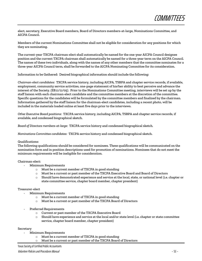elect, secretary, Executive Board members, Board of Directors members-at-large, Nominations Committee, and AICPA Council.

Members of the current Nominations Committee shall not be eligible for consideration for any positions for which they are nominating.

The current-year TXCPA chairman-elect shall automatically be named for the one-year AICPA Council designee position and the current TXCPA chairman shall automatically be named for a three-year term on the AICPA Council. The names of these two individuals, along with the names of any other members that the committee nominates for a three-year AICPA Council term, shall be forwarded to the AICPA Nominating Committee for its consideration.

Information to be Gathered: Desired biographical information should include the following:

*Chairman-elect candidates:* TXCPA service history, including AICPA, TSBPA and chapter service records, if available, employment, community service activities, one-page statement of his/her ability to best perceive and advance the interest of the Society. *(EB:11/11/05)*. Prior to the Nominations Committee meeting, interviews will be set up by the staff liaison with each chairman-elect candidate and the committee members at the discretion of the committee. Specific questions for the candidates will be formulated by the committee members and finalized by the chairman. Information gathered by the staff liaison for the chairman-elect candidates, including a recent photo, will be included in the materials loaded online at least five days prior to the interviews.

*Other Executive Board positions:* TXCPA service history, including AICPA, TSBPA and chapter service records, if available, and condensed biographical sketch.

*Board of Directors members-at-large:* TXCPA service history and condensed biographical sketch.

*Nominations Committee candidates:* TXCPA service history and condensed biographical sketch.

#### Qualifications:

The following qualifications should be considered for nominees. These qualifications will be communicated on the nomination form and in position descriptions used for promotion of nominations. Nominees that do not meet the minimum requirements will be ineligible for consideration.

#### Chairman-elect:

- Minimum Requirements
	- o Must be a current member of TXCPA in good standing
	- o Must be a current or past member of the TXCPA Executive Board and Board of Directors
	- $\circ$  Should have demonstrated experience and service at the local, state, or national level (i.e. chapter or state committee service, chapter board member, chapter president)

#### Treasurer-elect

- Minimum Requirements
	- o Must be a current member of TXCPA in good standing
	- o Must be a current or past member of the TXCPA Board of Directors
- Preferred Requirements
	- o Current or past member of the TXCPA Executive Board
	- $\circ$  Should have experience and service at the local and/or state level (i.e. chapter or state committee service, chapter board member, chapter president)

#### Secretary

- Minimum Requirements
	- o Must be a current member of TXCPA in good standing
	- o Must be a current or past member of the TXCPA Board of Directors

#### Texas Society of Certified Public Accountants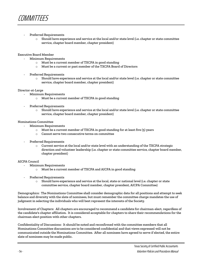

#### Preferred Requirements

 $\circ$  Should have experience and service at the local and/or state level (i.e. chapter or state committee service, chapter board member, chapter president)

#### Executive Board Member

- Minimum Requirements
	- o Must be a current member of TXCPA in good standing
	- o Must be a current or past member of the TXCPA Board of Directors
- Preferred Requirements
	- $\circ$  Should have experience and service at the local and/or state level (i.e. chapter or state committee service, chapter board member, chapter president)

#### Director-at-Large

- Minimum Requirements
	- o Must be a current member of TXCPA in good standing
- Preferred Requirements
	- $\circ$  Should have experience and service at the local and/or state level (i.e. chapter or state committee service, chapter board member, chapter president)

#### Nominations Committee

- Minimum Requirements
	- o Must be a current member of TXCPA in good standing for at least five (5) years
	- o Cannot serve two consecutive terms on committee
- Preferred Requirements
	- $\circ$  Current service at the local and/or state level with an understanding of the TXCPA strategic direction and volunteer leadership (i.e. chapter or state committee service, chapter board member, chapter president)

#### AICPA Council

- Minimum Requirements
	- o Must be a current member of TXCPA and AICPA in good standing
- Preferred Requirements
	- o Should have experience and service at the local, state or national level (i.e. chapter or state committee service, chapter board member, chapter president, AICPA Committee)

Demographics: The Nominations Committee shall consider demographic data for all positions and attempt to seek balance and diversity with the slate of nominees, but must remember the committee charge mandates the use of judgment in selecting the individuals who will best represent the interests of the Society.

Involvement of Chapters: All chapters are encouraged to recommend a candidate for chairman-elect, regardless of the candidate's chapter affiliation. It is considered acceptable for chapters to share their recommendations for the chairman-elect position with other chapters.

Confidentiality of Discussions: It should be noted and reconfirmed with the committee members that all Nominations Committee discussions are to be considered confidential and that views expressed will not be communicated outside the Nominations Committee. After all nominees have agreed to serve if elected, the entire slate of nominees may be made public.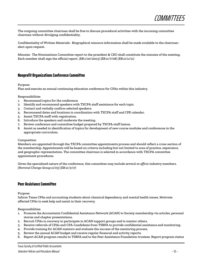

The outgoing committee chairman shall be free to discuss procedural activities with the incoming committee chairman without divulging confidentiality.

Confidentiality of Written Materials: Biographical resource information shall be made available to the chairmanelect upon request.

Minutes: The Nominations Committee report to the president & CEO shall constitute the minutes of the meeting. Each member shall sign the official report. *(EB:1/20/2003) (EB:11/7/08) (EB:11/11/11)*

## **Nonprofit Organizations Conference Committee**

#### Purpose

Plan and execute an annual continuing education conference for CPAs within this industry.

#### Responsibilities

- 1. Recommend topics for the conference.
- 2. Identify and recommend speakers with TXCPA staff assistance for each topic.
- 3. Contact and verbally confirm selected speakers.
- 4. Recommend dates and locations in coordination with TXCPA staff and CPE calendar.
- 5. Assist TXCPA staff with registration.
- 6. Introduce the speakers and moderate the meeting.
- 7. Review conference and committee budget prepared by TXCPA staff liaison.
- 8. Assist as needed in identification of topics for development of new course modules and conferences in the appropriate curriculum.

#### Composition

Members are appointed through the TXCPA committee appointments process and should reflect a cross section of the membership. Appointments will be based on criteria including but not limited to area of practice, experience, and geographic representation. The committee chairman is selected in accordance with TXCPA committee appointment procedures.

Given the specialized nature of the conference, this committee may include several *ex officio* industry members. *(Nominal Change Group:11/03) (EB:11/3/17)*

## **Peer Assistance Committee**

Purpose

Inform Texas CPAs and accounting students about chemical dependency and mental health issues. Motivate affected CPAs to seek help and assist in their recovery.

#### Responsibilities

- 1. Promote the Accountants Confidential Assistance Network (ACAN) to Society membership via articles, personal stories and chapter presentations.
- 2. Recruit CPAs in recovery to participate in ACAN support groups and to mentor others.
- 3. Receive referrals of CPAs and CPA-Candidates from TSBPA to provide confidential assistance and monitoring.
- 4. Provide training for ACAN mentors and evaluate the success of the mentoring process.
- 5. Review the annual ACAN budget and receive regular financial and activity reports.
- 6. Report ACAN program results to TSBPA and to the Peer Assistance Foundation trustees. Report program status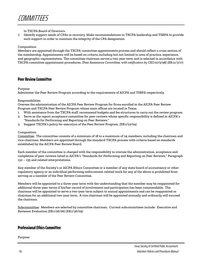#### to TXCPA Board of Directors.

7. Identify support needs of CPAs in recovery. Make recommendations to TXCPA leadership and TSBPA to provide such support in order to maintain the integrity of the CPA designation.

#### Composition

Members are appointed through the TXCPA committee appointments process and should reflect a cross section of the membership. Appointments will be based on criteria including but not limited to area of practice, experience, and geographic representation. The committee chairman serves a two-year term and is selected in accordance with TXCPA committee appointment procedures. *(Peer Assistance Committee, with ratification by CEO:10/5/98) (EB:11/3/17)*

## **Peer Review Committee**

Purpose

Administer the Peer Review Program according to the requirements of AICPA and TSBPA respectively.

#### Responsibilities

Oversee the administration of the AICPA Peer Review Program for firms enrolled in the AICPA Peer Review Program and TXCPA Peer Review Program whose main offices are located in Texas.

- 1. With assistance from the TXCPA staff, recommend budgets and fee structures to carry out the review program.
- 2. Serve as the report acceptance committee for peer reviews whose specific responsibility is defined in AICPA's "Standards for Performing and Reporting on Peer Reviews."
- 3. Suggest TXCPA's policy for execution of the Peer Review Program. (EB:1/22/04)

#### Composition

Committee: The committee consists of a minimum of 18 to a maximum of 24 members, including the chairman and vice-chairman. Members are appointed through the standard TXCPA process with criteria based on standards established by the AICPA Peer Review Board.

Each member of the committee is charged with the responsibility to oversee the administration, acceptance and completion of peer reviews listed in AICPA's "Standards for Performing and Reporting on Peer Reviews," Paragraph 132 – 135 and related interpretations.

Any member of the Society's or AICPA Ethics Committee or a member of any state board of accountancy or other regulatory agency or an individual performing enforcement related work for any of the above is prohibited from serving as a member of the Peer Review Committee.

Members will be appointed to a three-year term with the understanding that the member may be reappointed for additional three-year terms if his/her record of involvement and participation has been commendable. The chairman will be appointed to serve a two-year term subject to annual appointments and can be reappointed as chairman for an additional two-year term. A vice chairman will be appointed annually and ordinarily will succeed the chairman.

Subcommittee: Members are selected by committee chairman. Current subcommittees include: Executive and Reviewer Evaluation *(EB:1/26/06) (EB:1/26/09)*

## **Professional Ethics Committee**

Purpose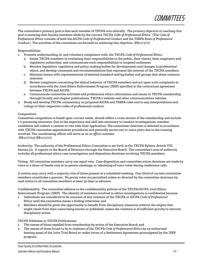

The committee's primary goal is that each member of TXCPA acts ethically. The primary objective in reaching this goal is ensuring that Society members abide by the current *TXCPA Code of Professional Ethics.* (The *Code of Professional Ethics* consists of both the *AICPA Code of Professional Conduct* and the *TSBPA Rules of Professional Conduct.*) The activities of the committee are focused on achieving this objective. *(EB:11/3/17)*

#### Responsibilities

- 1. Promote understanding of, and voluntary compliance with, the TXCPA *Code of Professional Ethics*.
	- a. Assist TXCPA members in evaluating their responsibilities to the public, their clients, their employers and regulatory authorities, and communicate such responsibilities to targeted audiences.
	- b. Monitor legislative, regulatory and policy-making bodies for developments and changes in professional ethics, and develop comments and recommendations that represent the interest of the TXCPA members.
	- c. Maintain liaison with representatives of selected standard-setting bodies and groups that share common interests.
	- d. Review complaints concerning the ethical behavior of TXCPA members and act upon such complaints in accordance with the Joint Ethics Enforcement Program (JEEP) specified in the contractual agreement between TXCPA and AICPA.
	- e. Communicate committee activities and professional ethics information and issues to TXCPA membership through Society and chapter publications, TXCPA's website and other communications vehicles.
- 2. Study and develop TXCPA commentary on proposed AICPA and TSBPA rules and to any interpretations and rulings to their respective codes of professional conduct.

#### Composition

Committee composition is based upon current needs, should reflect a cross section of the membership and include 1-2 practicing attorneys. Due to the experience and skill sets necessary to conduct investigations, member candidates will submit a resume or vita with their application. The committee chairman is selected in accordance with TXCPA committee appointment procedures and generally serves two or more years due to the training involved. The coordinating officer will serve as an *ex officio* member. *(EB:11/7/03) (EB:11/3/17)*

Authority: The authority of the Professional Ethics Committee is set forth in the TXCPA Bylaws, Article VIII, Section (2). It reports to the Board of Directors through the Executive Board. The committee's area of authority includes all professional ethics case investigation and disposition decisions involving TXCPA members.

Voting: All committee members carry one equal vote. Case disposition and committee action decisions are made by voice or a show-of-hands vote at in-person meetings, or tabulating of voice votes during conference calls.

A motion may carry with a majority vote of those present at a scheduled meeting. One-third of current committee members constitutes a quorum. No proxy votes are permitted unless so directed by the committee chairman by mail notice to all committee members at least 30 days in advance.

Confidentiality: The committee adheres to the confidentiality policies of the TXCPA/AICPA Joint Ethics Enforcement Program (JEEP). The identity of members involved in ethics investigations is confidential because:

- 1. Individuals are considered to be innocent of any violation of the TXCPA or AICPA *Code of Professional Ethics* until the committee issues a finding otherwise; and
- 2. Members should be given the opportunity to benefit from disciplinary measures without the stigma that might result from their name being known or published, unless the violation is of sufficient gravity to warrant disciplinary action.

TXCPA Publishes in TXCPA Publications:

- 1. The names of those expelled from membership by action of the Executive Board; and
- 2. The names of those found to be in violation of the *TXCPA Code of Professional Ethics* by an authorized hearing panel of the Joint Trial Board or under terms of a Settlement Agreement promulgated by the JEEP program.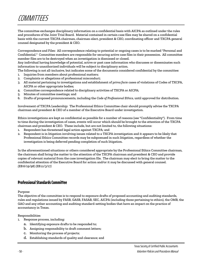# COMMITTEES

The committee exchanges disciplinary information on a confidential basis with AICPA as outlined under the rules and procedures of the Joint Trial Board. Material contained in certain case files may be shared on a confidential basis with the current TXCPA chairman, chairman-elect, president & CEO, coordinating officer and TXCPA general counsel designated by the president & CEO.

Correspondence and Files: All correspondence relating to potential or ongoing cases is to be marked "Personal and Confidential." Committee members are responsible for securing active case files in their possession. All committee member files are to be destroyed when an investigation is dismissed or closed.

Any individual having knowledge of potential, active or past case information who discusses or disseminates such information to unauthorized individuals will be subject to disciplinary action.

- The following is not all-inclusive, but indicates some of the documents considered confidential by the committee:
- 1. Inquiries from members about professional matters;
- 2. Complaints or allegations of professional misconduct;
- 3. All material pertaining to investigations and establishment of *prima facie* cases of violations of Codes of TXCPA, AICPA or other appropriate bodies;
- 4. Committee correspondence related to disciplinary activities of TXCPA or AICPA;
- 5. Minutes of committee meetings; and
- 6. Drafts of proposed pronouncements, including the *Code of Professional Ethics*, until approved for distribution.

Involvement of TXCPA Leadership: The Professional Ethics Committee chair should promptly advise the TXCPA chairman and president & CEO of a member of the Executive Board under investigation.

Ethics investigations are kept as confidential as possible for a number of reasons (see "Confidentiality"). From time to time during the investigation of cases, events will occur which should be brought to the attention of the TXCPA chairman and president & CEO. These include, but are not limited to, the following situations:

- 1. Respondent has threatened legal action against TXCPA; and
- 2. Respondent is in litigation involving issues related to a TXCPA investigation and it appears to be likely that Professional Ethics Committee records may be subpoenaed in such litigation, regardless of whether the investigation is being deferred pending completion of such litigation.

In the aforementioned situations or others considered appropriate by the Professional Ethics Committee chairman, the chairman shall bring the matter to the attention of the TXCPA chairman and president & CEO and provide copies of relevant material from the case investigation file. The chairman may elect to bring the matter to the confidential attention of the Executive Board for action and/or it may be discussed with general counsel. *(EB:6/19/98) (EB:11/3/17)*

## **Professional Standards Committee**

#### Purpose

The objective of the committee is to respond to exposure drafts of proposed accounting and auditing standards, rules and regulations issued by FASB, GASB, FASAB, SEC, AICPA (including those pertaining to ethics), the OMB, the GAO and any other accounting and auditing standard-setting bodies that have an impact on the practice of accountancy in Texas.

#### Responsibilities

- 1. Response process, including:
	- a. Identifying exposure drafts to be responded to;
	- b. Assigning responsibility to draft comment letters;
	- c. Monitoring the process of projects;
	- d. Establishing standards of quality and clearance; and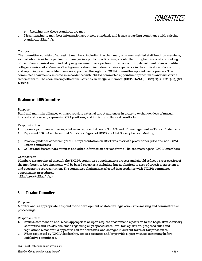**COMMITTEES** 

- e. Assuring that those standards are met.
- 2. Disseminating to members information about new standards and issues regarding compliance with existing standards. *(EB:11/3/17)*

#### Composition

The committee consists of at least 18 members, including the chairman, plus any qualified staff function members, each of whom is either a partner or manager in a public practice firm, a controller or higher financial accounting officer of an organization in industry or government, or a professor in an accounting department of an accredited college or university. Members' backgrounds should include extensive experience in the application of accounting and reporting standards. Members are appointed through the TXCPA committee appointments process. The committee chairman is selected in accordance with TXCPA committee appointment procedures and will serve a two-year term. The coordinating officer will serve as an *ex officio* member. (EB:11/11/06) (EB:8/23/13) (EB:11/3/17) *(EB: 1/30/19)*

## **Relations with IRS Committee**

Purpose

Build and maintain alliances with appropriate external target audiences in order to exchange ideas of mutual interest and concern, expressing CPA positions, and initiating collaborative efforts.

Responsibilities

- 1. Sponsor joint liaison meetings between representatives of TXCPA and IRS management in Texas IRS districts.
- 2. Represent TXCPA at the annual Midstates Region of IRS/State CPA Society Liaison Meeting.
- 3. Provide guidance concerning TXCPA representation on IRS Texas district's practitioner (CPA and non-CPA) liaison committees.
- 4. Collect and disseminate minutes and other information derived from all liaison meetings to TXCPA members.

#### Composition

Members are appointed through the TXCPA committee appointments process and should reflect a cross section of the membership. Appointments will be based on criteria including but not limited to area of practice, experience, and geographic representation. The committee chairman is selected in accordance with TXCPA committee appointment procedures.

*(EB:1/22/04) (EB:11/3/17)*

## **State Taxation Committee**

#### Purpose

Monitor and, as appropriate, respond to the development of state tax legislation, rule-making and administrative proceedings.

Responsibilities

- Review, comment on and, when appropriate or upon request, recommend a position to the Legislative Advisory Committee and TXCPA chairman regarding all proposed state-level tax legislation, proposed rules and regulations which would appear to call for new taxes, and changes in current taxes or tax procedures.
- 2. When requested by TXCPA leadership, act as a resource and/or provide expert witness testimony before legislative committees.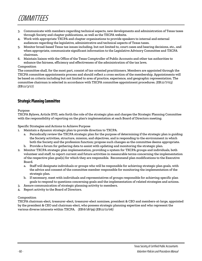

- 3. Communicate with members regarding technical aspects, new developments and administration of Texas taxes through Society and chapter publications, as well as the TXCPA website.
- 4. Work with appropriate TXCPA and chapter organizations to provide speakers to internal and external audiences regarding the legislative, administrative and technical aspects of Texas taxes.
- 5. Monitor broad-based Texas tax issues including, but not limited to, court cases and hearing decisions, etc., and when appropriate, communicate significant information to the Legislative Advisory Committee and TXCPA chairman.
- 6. Maintain liaison with the Office of the Texas Comptroller of Public Accounts and other tax authorities to enhance the fairness, efficiency and effectiveness of the administration of the tax laws.

#### Composition

The committee shall, for the most part, consist of tax-oriented practitioners. Members are appointed through the TXCPA committee appointments process and should reflect a cross section of the membership. Appointments will be based on criteria including but not limited to area of practice, experience, and geographic representation. The committee chairman is selected in accordance with TXCPA committee appointment procedures. *(EB:11/7/03) (EB:11/3/17)*

## **Strategic Planning Committee**

Purpose

TXCPA Bylaws, Article XVII, sets forth the role of the strategic plan and charges the Strategic Planning Committee with the responsibility of reporting on the plan's implementation at each Board of Directors meeting.

Specific Strategies and Actions to Achieve Purpose

- 1. Maintain a dynamic strategic plan to provide direction to TXCPA.
	- a. Periodically review the TXCPA strategic plan for the purpose of determining if the strategic plan is guiding the Society activities, structure, mission, and objectives, and is responding to the environment in which both the Society and the profession function; propose such changes as the committee deems appropriate.
	- b. Provide a forum for gathering data to assist with updating and monitoring the strategic plan.
- 2. Monitor TXCPA strategic plan implementation, providing a system for TXCPA groups and individuals, both volunteer and staff, to report current and future activities in measurable terms concerning the implementation of the respective plan goal(s) for which they are responsible. Recommend plan modifications to the Executive Board.
	- a. Staff will designate individuals or groups who will be responsible for achieving strategic plan goals, with the advice and consent of the committee member responsible for monitoring the implementation of the strategic plan*.*
	- b. If necessary, meet with individuals and representatives of groups responsible for achieving specific plan goals to respond to questions concerning goals and the implementation of related strategies and actions.
- 3. Assure communication of strategic planning activity to members.
- 4. Report activity to the Board of Directors.

#### Composition

TXCPA chairman-elect, treasurer-elect, treasurer-elect nominee, president & CEO and members-at-large, appointed by the president & CEO and chairman-elect, who possess strategic planning expertise and who represent the various diverse interests within TXCPA. *(EB:6/18/99) (EB:11/11/06)*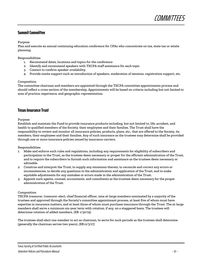## **Summit Committee**

Purpose

Plan and execute an annual continuing education conference for CPAs who concentrate on tax, state tax or estate planning.

Responsibilities

- 1. Recommend dates, locations and topics for the conference
- 2. Identify and recommend speakers with TXCPA staff assistance for each topic
- 3. Contact to confirm speaker availability.
- 4. Provide onsite support such as introduction of speakers, moderation of sessions, registration support, etc.

#### Composition

The committee chairman and members are appointed through the TXCPA committee appointments process and should reflect a cross section of the membership. Appointments will be based on criteria including but not limited to area of practice, experience, and geographic representation.

## **Texas Insurance Trust**

Purpose

Establish and maintain the Fund to provide insurance products including, but not limited to, life, accident, and health to qualified members of the Society, their employees and their families. The Trust shall have the responsibility to review and monitor all insurance policies, products, plans, etc., that are offered to the Society, its members, their employees and their families. Any of such insurance as the trustees may determine shall be provided through one or more insurance policies issued by insurance carriers.

Responsibilities

- 1. Make and enforce such rules and regulations, including any requirements for eligibility of subscribers and participation in the Trust, as the trustees deem necessary or proper for the efficient administration of the Trust, and to require the subscribers to furnish such information and assistance as the trustees deem necessary or advisable.
- 2. Construe and interpret the Trust, to supply any omissions therein, to reconcile and correct any errors or inconsistencies, to decide any questions in the administration and application of the Trust, and to make equitable adjustments for any mistakes or errors made in the administration of the Trust.
- 3. Appoint such agents, counsel, accountants, and consultants as the trustees deem necessary for the proper administration of the Trust.

#### Composition

TXCPA treasurer, treasurer-elect, chief financial officer, nine at-large members nominated by a majority of the trustees and approved through the Society's committee appointment process, at least five of whom must have expertise in insurance matters, and at least three of whom must purchase insurance through the Trust. The at-large members shall serve a minimum six-year term with rotation, if any, on a staggered basis. The trustees will determine rotation of added members. *(EB: 1/30/19)*

The trustees shall elect one member to act as chairman, to serve for such periods as the trustees shall determine (generally the chairman serves two years). *(EB:11/3/17)*